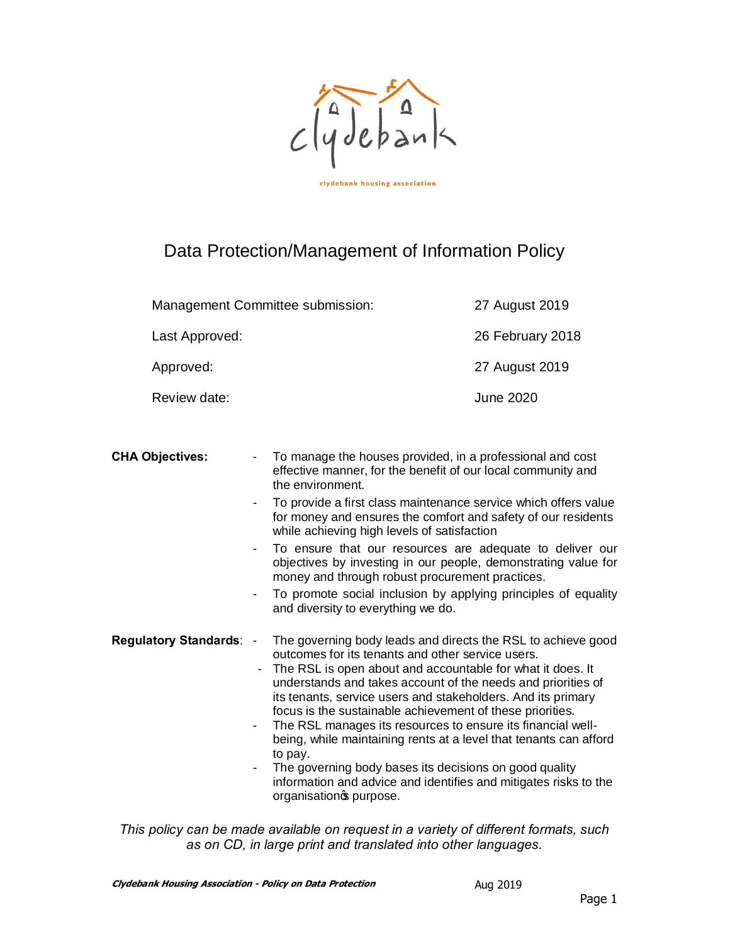

clydebank housing association

# Data Protection/Management of Information Policy

| Management Committee submission: | 27 August 2019   |
|----------------------------------|------------------|
| Last Approved:                   | 26 February 2018 |
| Approved:                        | 27 August 2019   |
| Review date:                     | June 2020        |

**CHA Objectives:** - To manage the houses provided, in a professional and cost effective manner, for the benefit of our local community and the environment.

- To provide a first class maintenance service which offers value for money and ensures the comfort and safety of our residents while achieving high levels of satisfaction
- To ensure that our resources are adequate to deliver our objectives by investing in our people, demonstrating value for money and through robust procurement practices.
- To promote social inclusion by applying principles of equality and diversity to everything we do.
- **Regulatory Standards**: The governing body leads and directs the RSL to achieve good outcomes for its tenants and other service users.
	- The RSL is open about and accountable for what it does. It understands and takes account of the needs and priorities of its tenants, service users and stakeholders. And its primary focus is the sustainable achievement of these priorities.
	- The RSL manages its resources to ensure its financial wellbeing, while maintaining rents at a level that tenants can afford to pay.
	- The governing body bases its decisions on good quality information and advice and identifies and mitigates risks to the organisations purpose.

*This policy can be made available on request in a variety of different formats, such as on CD, in large print and translated into other languages.*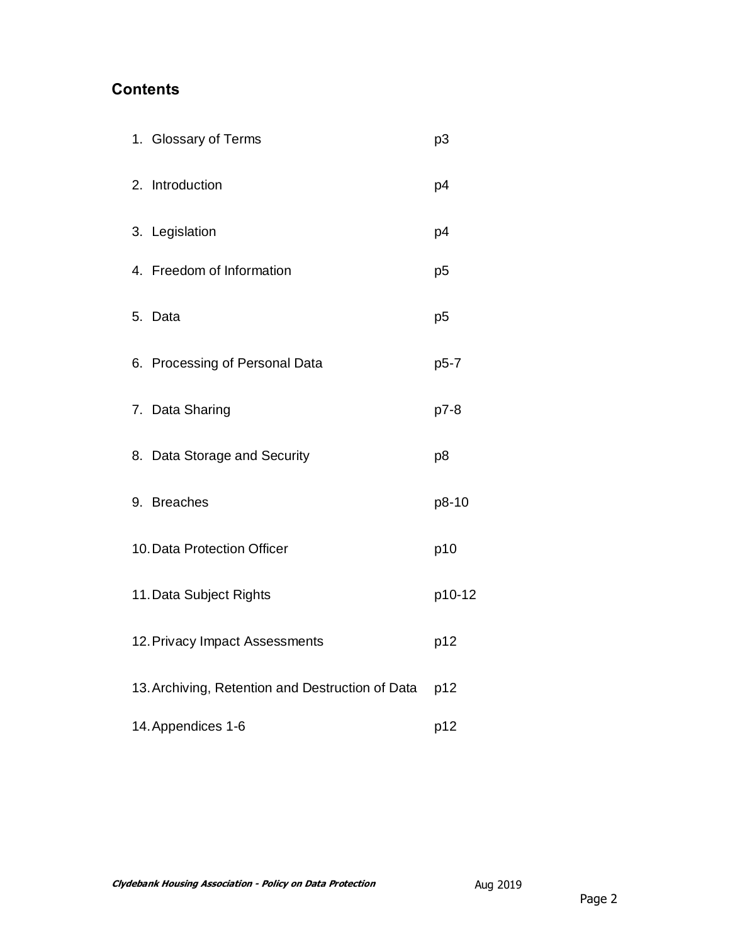# **Contents**

| 1. Glossary of Terms                             | p3             |
|--------------------------------------------------|----------------|
| 2. Introduction                                  | p4             |
| 3. Legislation                                   | p4             |
| 4. Freedom of Information                        | p <sub>5</sub> |
| 5. Data                                          | p <sub>5</sub> |
| 6. Processing of Personal Data                   | p5-7           |
| 7. Data Sharing                                  | p7-8           |
| 8. Data Storage and Security                     | p <sub>8</sub> |
| 9. Breaches                                      | p8-10          |
| 10. Data Protection Officer                      | p10            |
| 11. Data Subject Rights                          | p10-12         |
| 12. Privacy Impact Assessments                   | p12            |
| 13. Archiving, Retention and Destruction of Data | p12            |
| 14. Appendices 1-6                               | p12            |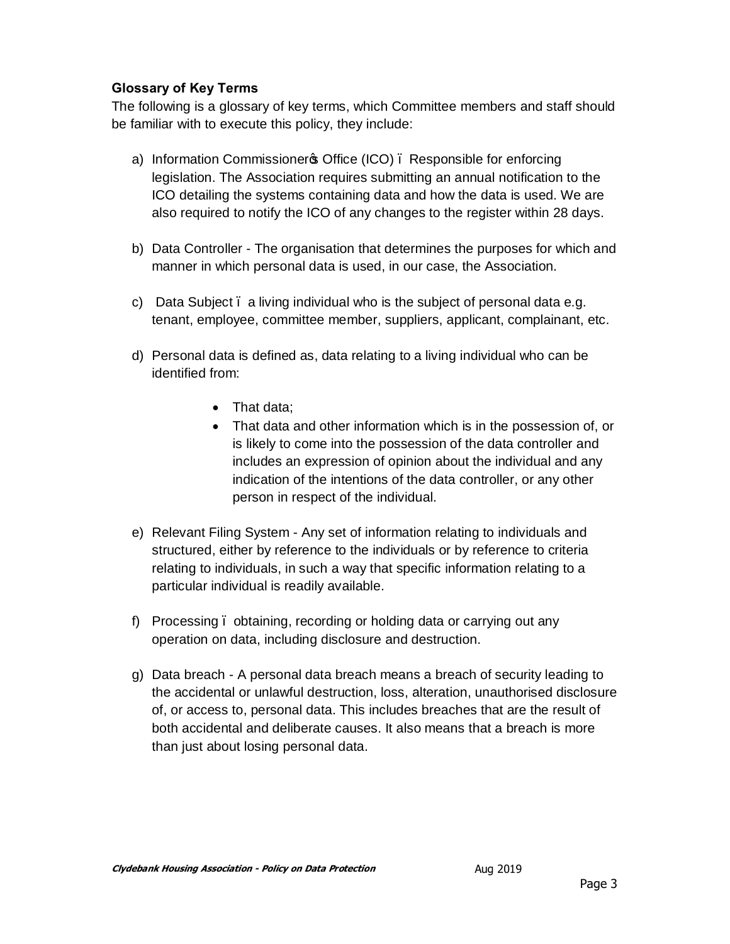## **Glossary of Key Terms**

The following is a glossary of key terms, which Committee members and staff should be familiar with to execute this policy, they include:

- a) Information Commissioners Office (ICO). Responsible for enforcing legislation. The Association requires submitting an annual notification to the ICO detailing the systems containing data and how the data is used. We are also required to notify the ICO of any changes to the register within 28 days.
- b) Data Controller The organisation that determines the purposes for which and manner in which personal data is used, in our case, the Association.
- c) Data Subject a living individual who is the subject of personal data e.g. tenant, employee, committee member, suppliers, applicant, complainant, etc.
- d) Personal data is defined as, data relating to a living individual who can be identified from:
	- That data;
	- · That data and other information which is in the possession of, or is likely to come into the possession of the data controller and includes an expression of opinion about the individual and any indication of the intentions of the data controller, or any other person in respect of the individual.
- e) Relevant Filing System Any set of information relating to individuals and structured, either by reference to the individuals or by reference to criteria relating to individuals, in such a way that specific information relating to a particular individual is readily available.
- f) Processing obtaining, recording or holding data or carrying out any operation on data, including disclosure and destruction.
- g) Data breach A personal data breach means a breach of security leading to the accidental or unlawful destruction, loss, alteration, unauthorised disclosure of, or access to, personal data. This includes breaches that are the result of both accidental and deliberate causes. It also means that a breach is more than just about losing personal data.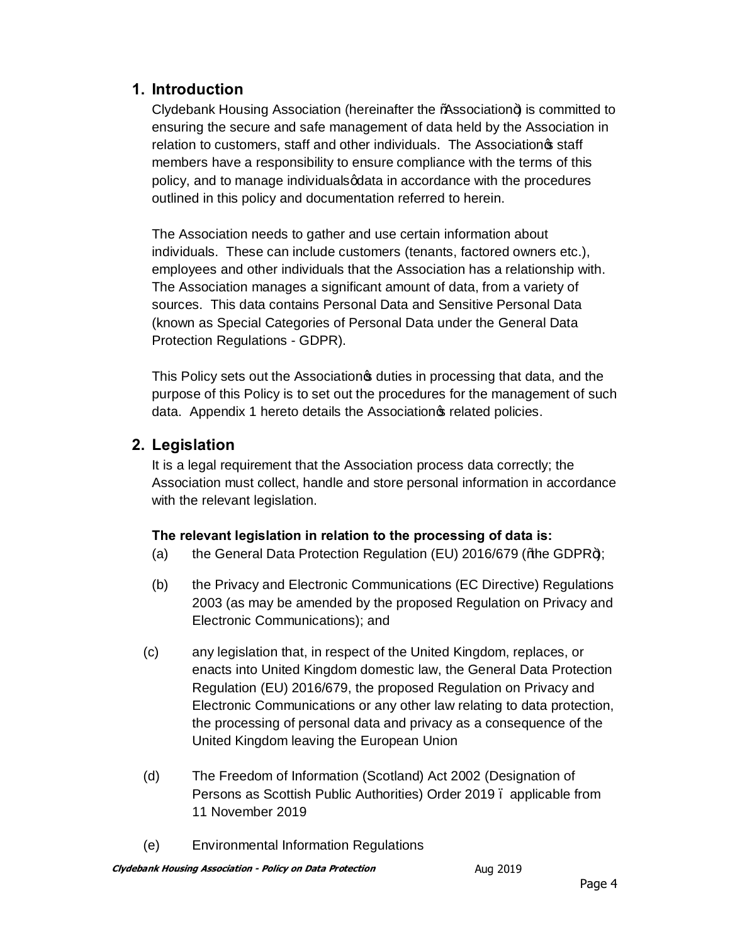# **1. Introduction**

Clydebank Housing Association (hereinafter the "Association") is committed to ensuring the secure and safe management of data held by the Association in relation to customers, staff and other individuals. The Association of staff members have a responsibility to ensure compliance with the terms of this policy, and to manage individual soldata in accordance with the procedures outlined in this policy and documentation referred to herein.

The Association needs to gather and use certain information about individuals. These can include customers (tenants, factored owners etc.), employees and other individuals that the Association has a relationship with. The Association manages a significant amount of data, from a variety of sources. This data contains Personal Data and Sensitive Personal Data (known as Special Categories of Personal Data under the General Data Protection Regulations - GDPR).

This Policy sets out the Association  $\phi$  duties in processing that data, and the purpose of this Policy is to set out the procedures for the management of such data. Appendix 1 hereto details the Association operated policies.

# **2. Legislation**

It is a legal requirement that the Association process data correctly; the Association must collect, handle and store personal information in accordance with the relevant legislation.

## **The relevant legislation in relation to the processing of data is:**

- (a) the General Data Protection Regulation (EU) 2016/679 ("the GDPR+);
- (b) the Privacy and Electronic Communications (EC Directive) Regulations 2003 (as may be amended by the proposed Regulation on Privacy and Electronic Communications); and
- (c) any legislation that, in respect of the United Kingdom, replaces, or enacts into United Kingdom domestic law, the General Data Protection Regulation (EU) 2016/679, the proposed Regulation on Privacy and Electronic Communications or any other law relating to data protection, the processing of personal data and privacy as a consequence of the United Kingdom leaving the European Union
- (d) The Freedom of Information (Scotland) Act 2002 (Designation of Persons as Scottish Public Authorities) Order 2019 . applicable from 11 November 2019
- (e) Environmental Information Regulations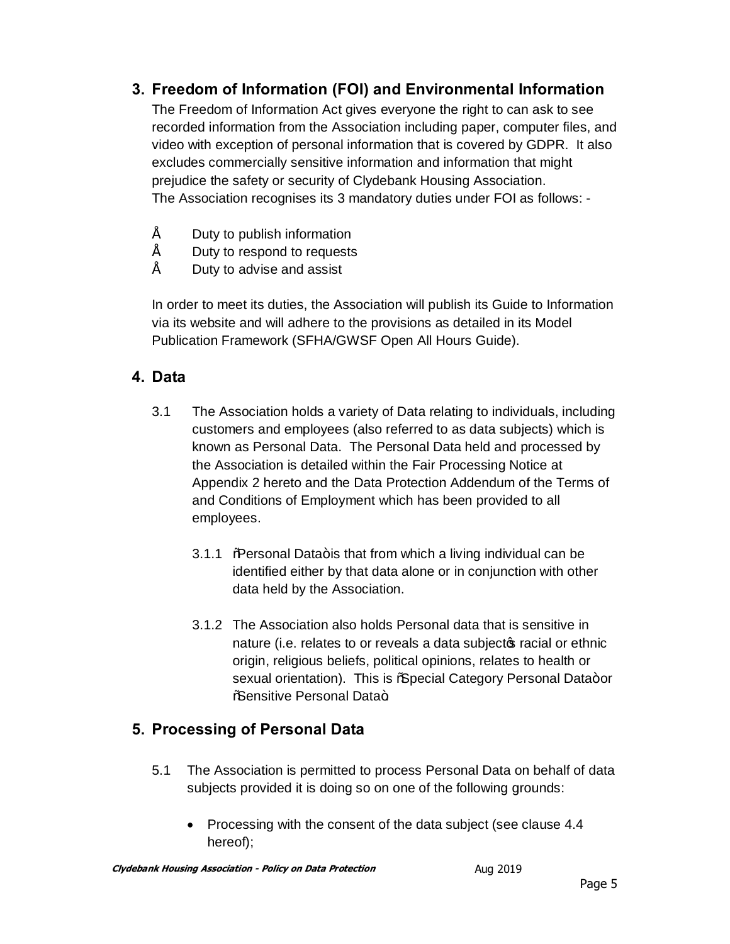# **3. Freedom of Information (FOI) and Environmental Information**

The Freedom of Information Act gives everyone the right to can ask to see recorded information from the Association including paper, computer files, and video with exception of personal information that is covered by GDPR. It also excludes commercially sensitive information and information that might prejudice the safety or security of Clydebank Housing Association. The Association recognises its 3 mandatory duties under FOI as follows: -

- Duty to publish information
- Duty to respond to requests
- Duty to advise and assist

In order to meet its duties, the Association will publish its Guide to Information via its website and will adhere to the provisions as detailed in its Model Publication Framework (SFHA/GWSF Open All Hours Guide).

# **4. Data**

- 3.1 The Association holds a variety of Data relating to individuals, including customers and employees (also referred to as data subjects) which is known as Personal Data. The Personal Data held and processed by the Association is detailed within the Fair Processing Notice at Appendix 2 hereto and the Data Protection Addendum of the Terms of and Conditions of Employment which has been provided to all employees.
	- 3.1.1 % Possonal Data+ is that from which a living individual can be identified either by that data alone or in conjunction with other data held by the Association.
	- 3.1.2 The Association also holds Personal data that is sensitive in nature (i.e. relates to or reveals a data subjecto racial or ethnic origin, religious beliefs, political opinions, relates to health or sexual orientation). This is %Special Category Personal Data+or %Sensitive Personal Data+

# **5. Processing of Personal Data**

- 5.1 The Association is permitted to process Personal Data on behalf of data subjects provided it is doing so on one of the following grounds:
	- · Processing with the consent of the data subject (see clause 4.4 hereof);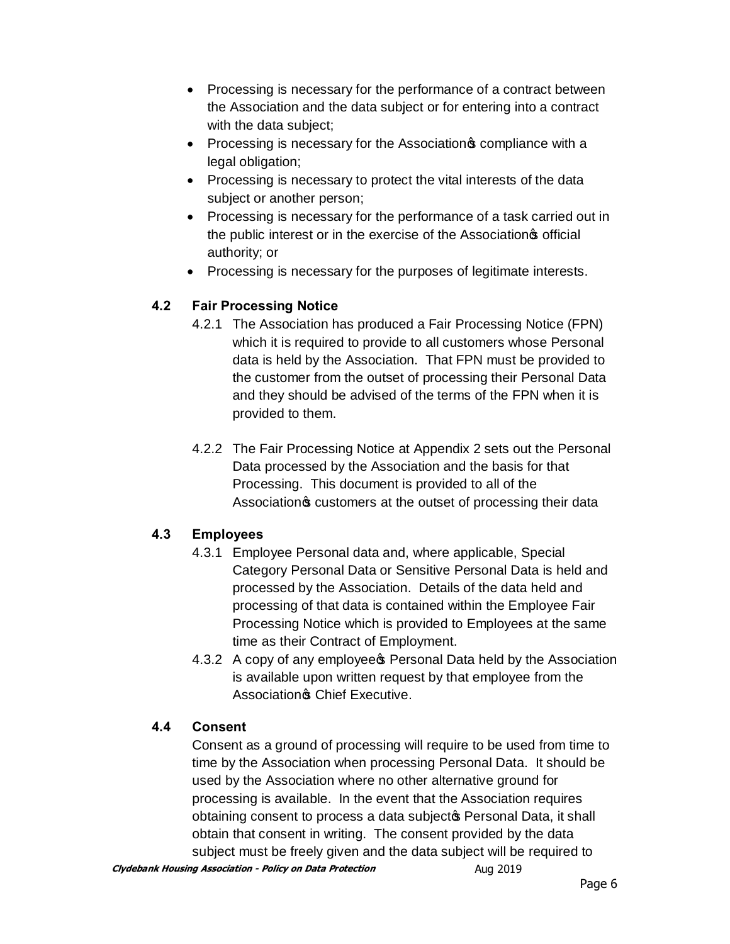- · Processing is necessary for the performance of a contract between the Association and the data subject or for entering into a contract with the data subject;
- Processing is necessary for the Association compliance with a legal obligation;
- · Processing is necessary to protect the vital interests of the data subject or another person;
- · Processing is necessary for the performance of a task carried out in the public interest or in the exercise of the Association<sup>s</sup> official authority; or
- · Processing is necessary for the purposes of legitimate interests.

## **4.2 Fair Processing Notice**

- 4.2.1 The Association has produced a Fair Processing Notice (FPN) which it is required to provide to all customers whose Personal data is held by the Association. That FPN must be provided to the customer from the outset of processing their Personal Data and they should be advised of the terms of the FPN when it is provided to them.
- 4.2.2 The Fair Processing Notice at Appendix 2 sets out the Personal Data processed by the Association and the basis for that Processing. This document is provided to all of the Association & customers at the outset of processing their data

## **4.3 Employees**

- 4.3.1 Employee Personal data and, where applicable, Special Category Personal Data or Sensitive Personal Data is held and processed by the Association. Details of the data held and processing of that data is contained within the Employee Fair Processing Notice which is provided to Employees at the same time as their Contract of Employment.
- 4.3.2 A copy of any employee **S** Personal Data held by the Association is available upon written request by that employee from the Association<sup>®</sup> Chief Executive.

## **4.4 Consent**

Consent as a ground of processing will require to be used from time to time by the Association when processing Personal Data. It should be used by the Association where no other alternative ground for processing is available. In the event that the Association requires obtaining consent to process a data subjecto Personal Data, it shall obtain that consent in writing. The consent provided by the data subject must be freely given and the data subject will be required to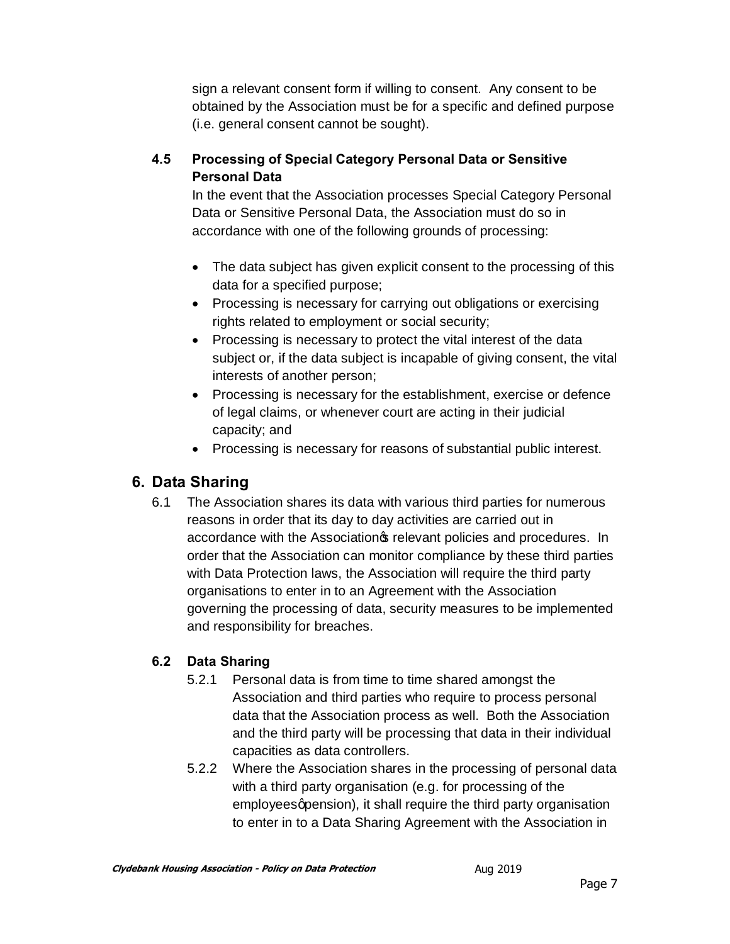sign a relevant consent form if willing to consent. Any consent to be obtained by the Association must be for a specific and defined purpose (i.e. general consent cannot be sought).

# **4.5 Processing of Special Category Personal Data or Sensitive Personal Data**

In the event that the Association processes Special Category Personal Data or Sensitive Personal Data, the Association must do so in accordance with one of the following grounds of processing:

- The data subject has given explicit consent to the processing of this data for a specified purpose;
- Processing is necessary for carrying out obligations or exercising rights related to employment or social security;
- · Processing is necessary to protect the vital interest of the data subject or, if the data subject is incapable of giving consent, the vital interests of another person;
- · Processing is necessary for the establishment, exercise or defence of legal claims, or whenever court are acting in their judicial capacity; and
- · Processing is necessary for reasons of substantial public interest.

# **6. Data Sharing**

6.1 The Association shares its data with various third parties for numerous reasons in order that its day to day activities are carried out in accordance with the Association of relevant policies and procedures. In order that the Association can monitor compliance by these third parties with Data Protection laws, the Association will require the third party organisations to enter in to an Agreement with the Association governing the processing of data, security measures to be implemented and responsibility for breaches.

## **6.2 Data Sharing**

- 5.2.1 Personal data is from time to time shared amongst the Association and third parties who require to process personal data that the Association process as well. Both the Association and the third party will be processing that data in their individual capacities as data controllers.
- 5.2.2 Where the Association shares in the processing of personal data with a third party organisation (e.g. for processing of the employees apension), it shall require the third party organisation to enter in to a Data Sharing Agreement with the Association in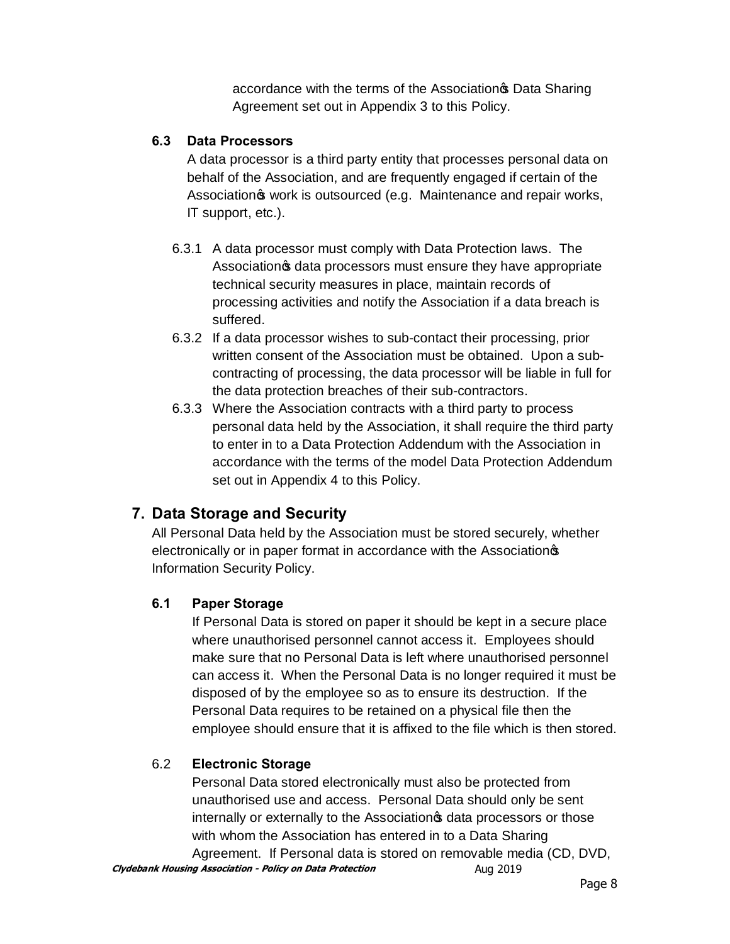accordance with the terms of the Association<sup>®</sup> Data Sharing Agreement set out in Appendix 3 to this Policy.

## **6.3 Data Processors**

A data processor is a third party entity that processes personal data on behalf of the Association, and are frequently engaged if certain of the Association work is outsourced (e.g. Maintenance and repair works, IT support, etc.).

- 6.3.1 A data processor must comply with Data Protection laws. The Association **s** data processors must ensure they have appropriate technical security measures in place, maintain records of processing activities and notify the Association if a data breach is suffered.
- 6.3.2 If a data processor wishes to sub-contact their processing, prior written consent of the Association must be obtained. Upon a subcontracting of processing, the data processor will be liable in full for the data protection breaches of their sub-contractors.
- 6.3.3 Where the Association contracts with a third party to process personal data held by the Association, it shall require the third party to enter in to a Data Protection Addendum with the Association in accordance with the terms of the model Data Protection Addendum set out in Appendix 4 to this Policy.

# **7. Data Storage and Security**

All Personal Data held by the Association must be stored securely, whether electronically or in paper format in accordance with the Association<sup>®</sup> Information Security Policy.

## **6.1 Paper Storage**

If Personal Data is stored on paper it should be kept in a secure place where unauthorised personnel cannot access it. Employees should make sure that no Personal Data is left where unauthorised personnel can access it. When the Personal Data is no longer required it must be disposed of by the employee so as to ensure its destruction. If the Personal Data requires to be retained on a physical file then the employee should ensure that it is affixed to the file which is then stored.

## 6.2 **Electronic Storage**

Personal Data stored electronically must also be protected from unauthorised use and access. Personal Data should only be sent internally or externally to the Association of data processors or those with whom the Association has entered in to a Data Sharing

**Clydebank Housing Association - Policy on Data Protection Aug 2019** Agreement. If Personal data is stored on removable media (CD, DVD,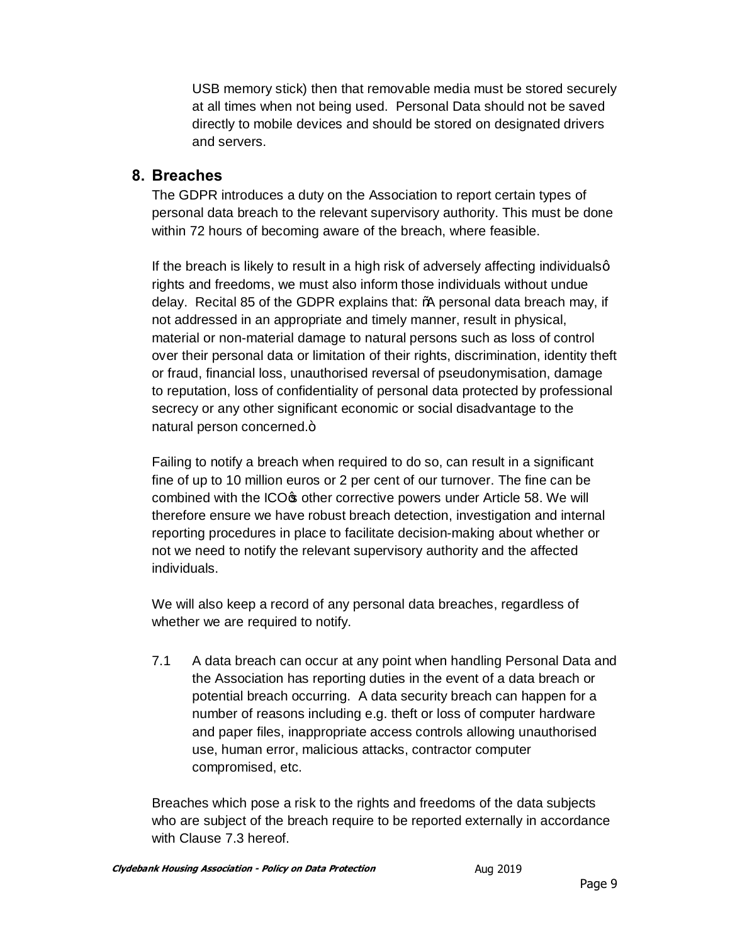USB memory stick) then that removable media must be stored securely at all times when not being used. Personal Data should not be saved directly to mobile devices and should be stored on designated drivers and servers.

## **8. Breaches**

The GDPR introduces a duty on the Association to report certain types of personal data breach to the relevant supervisory authority. This must be done within 72 hours of becoming aware of the breach, where feasible.

If the breach is likely to result in a high risk of adversely affecting individualsg rights and freedoms, we must also inform those individuals without undue delay. Recital 85 of the GDPR explains that: "A personal data breach may, if not addressed in an appropriate and timely manner, result in physical, material or non-material damage to natural persons such as loss of control over their personal data or limitation of their rights, discrimination, identity theft or fraud, financial loss, unauthorised reversal of pseudonymisation, damage to reputation, loss of confidentiality of personal data protected by professional secrecy or any other significant economic or social disadvantage to the natural person concerned.+

Failing to notify a breach when required to do so, can result in a significant fine of up to 10 million euros or 2 per cent of our turnover. The fine can be combined with the ICO $\infty$  other corrective powers under Article 58. We will therefore ensure we have robust breach detection, investigation and internal reporting procedures in place to facilitate decision-making about whether or not we need to notify the relevant supervisory authority and the affected individuals.

We will also keep a record of any personal data breaches, regardless of whether we are required to notify.

7.1 A data breach can occur at any point when handling Personal Data and the Association has reporting duties in the event of a data breach or potential breach occurring. A data security breach can happen for a number of reasons including e.g. theft or loss of computer hardware and paper files, inappropriate access controls allowing unauthorised use, human error, malicious attacks, contractor computer compromised, etc.

Breaches which pose a risk to the rights and freedoms of the data subjects who are subject of the breach require to be reported externally in accordance with Clause 7.3 hereof.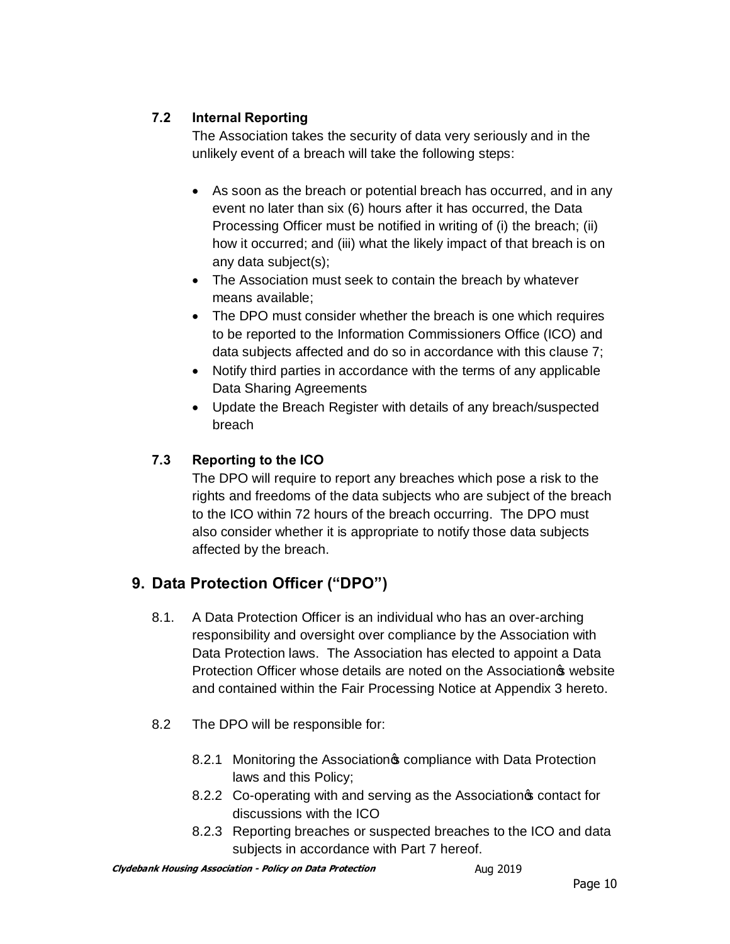## **7.2 Internal Reporting**

The Association takes the security of data very seriously and in the unlikely event of a breach will take the following steps:

- · As soon as the breach or potential breach has occurred, and in any event no later than six (6) hours after it has occurred, the Data Processing Officer must be notified in writing of (i) the breach; (ii) how it occurred; and (iii) what the likely impact of that breach is on any data subject(s);
- The Association must seek to contain the breach by whatever means available;
- The DPO must consider whether the breach is one which requires to be reported to the Information Commissioners Office (ICO) and data subjects affected and do so in accordance with this clause 7;
- · Notify third parties in accordance with the terms of any applicable Data Sharing Agreements
- · Update the Breach Register with details of any breach/suspected breach

# **7.3 Reporting to the ICO**

The DPO will require to report any breaches which pose a risk to the rights and freedoms of the data subjects who are subject of the breach to the ICO within 72 hours of the breach occurring. The DPO must also consider whether it is appropriate to notify those data subjects affected by the breach.

# **9. Data Protection Officer ("DPO")**

- 8.1. A Data Protection Officer is an individual who has an over-arching responsibility and oversight over compliance by the Association with Data Protection laws. The Association has elected to appoint a Data Protection Officer whose details are noted on the Association website and contained within the Fair Processing Notice at Appendix 3 hereto.
- 8.2 The DPO will be responsible for:
	- 8.2.1 Monitoring the Association<sup>®</sup> compliance with Data Protection laws and this Policy;
	- 8.2.2 Co-operating with and serving as the Association contact for discussions with the ICO
	- 8.2.3 Reporting breaches or suspected breaches to the ICO and data subjects in accordance with Part 7 hereof.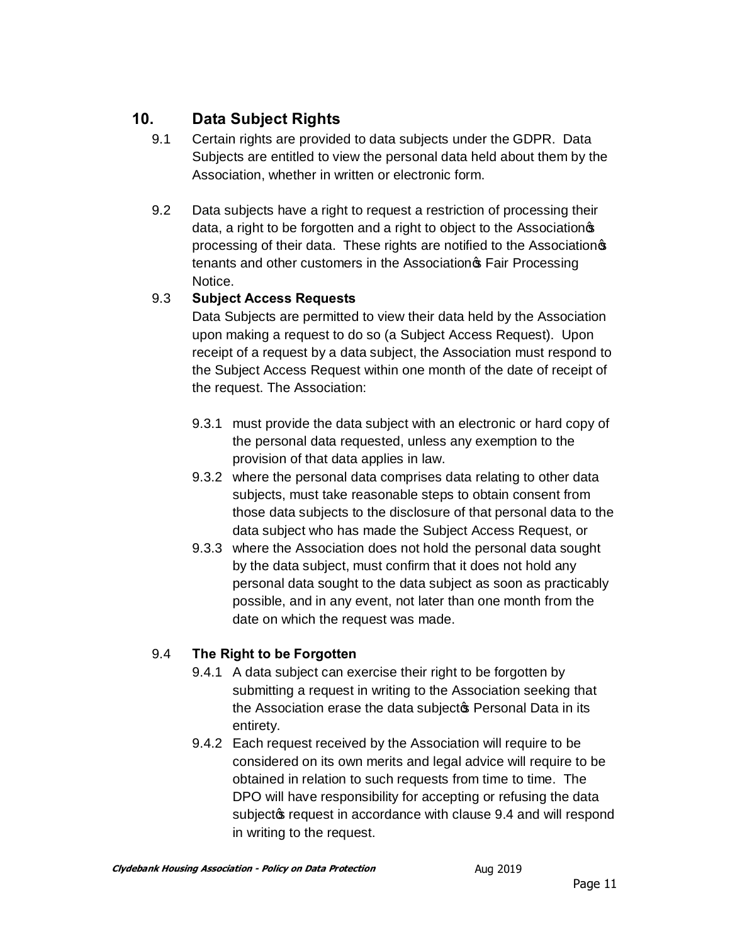# **10. Data Subject Rights**

- 9.1 Certain rights are provided to data subjects under the GDPR. Data Subjects are entitled to view the personal data held about them by the Association, whether in written or electronic form.
- 9.2 Data subjects have a right to request a restriction of processing their data, a right to be forgotten and a right to object to the Association processing of their data. These rights are notified to the Association tenants and other customers in the Association<sup>®</sup> Fair Processing Notice.

# 9.3 **Subject Access Requests**

Data Subjects are permitted to view their data held by the Association upon making a request to do so (a Subject Access Request). Upon receipt of a request by a data subject, the Association must respond to the Subject Access Request within one month of the date of receipt of the request. The Association:

- 9.3.1 must provide the data subject with an electronic or hard copy of the personal data requested, unless any exemption to the provision of that data applies in law.
- 9.3.2 where the personal data comprises data relating to other data subjects, must take reasonable steps to obtain consent from those data subjects to the disclosure of that personal data to the data subject who has made the Subject Access Request, or
- 9.3.3 where the Association does not hold the personal data sought by the data subject, must confirm that it does not hold any personal data sought to the data subject as soon as practicably possible, and in any event, not later than one month from the date on which the request was made.

# 9.4 **The Right to be Forgotten**

- 9.4.1 A data subject can exercise their right to be forgotten by submitting a request in writing to the Association seeking that the Association erase the data subjectos Personal Data in its entirety.
- 9.4.2 Each request received by the Association will require to be considered on its own merits and legal advice will require to be obtained in relation to such requests from time to time. The DPO will have responsibility for accepting or refusing the data subject ts request in accordance with clause 9.4 and will respond in writing to the request.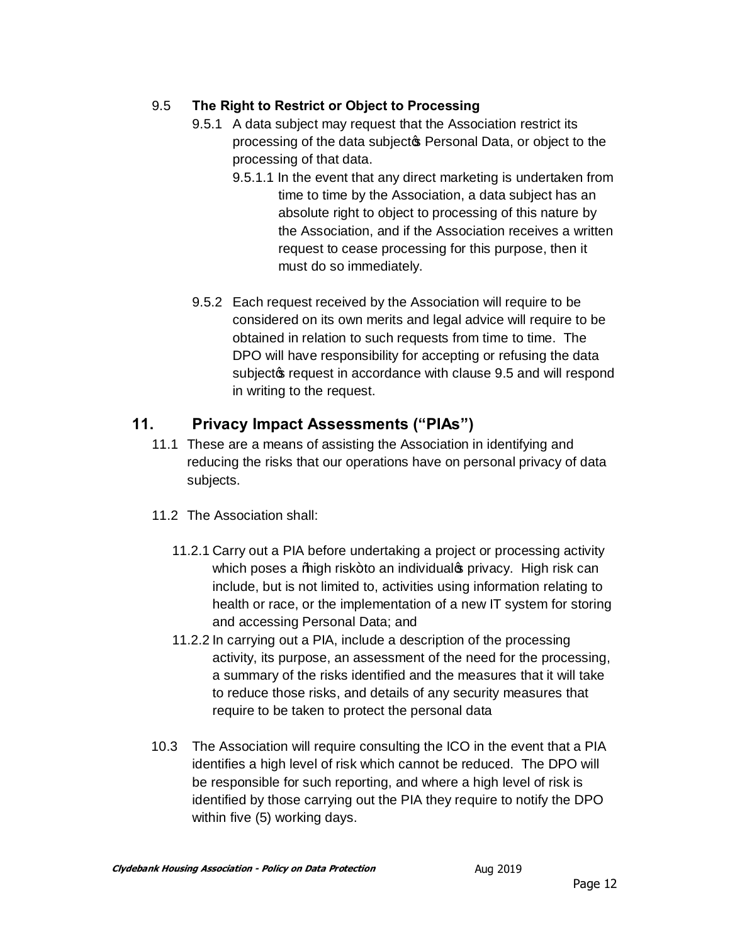## 9.5 **The Right to Restrict or Object to Processing**

- 9.5.1 A data subject may request that the Association restrict its processing of the data subject **Personal Data**, or object to the processing of that data.
	- 9.5.1.1 In the event that any direct marketing is undertaken from time to time by the Association, a data subject has an absolute right to object to processing of this nature by the Association, and if the Association receives a written request to cease processing for this purpose, then it must do so immediately.
- 9.5.2 Each request received by the Association will require to be considered on its own merits and legal advice will require to be obtained in relation to such requests from time to time. The DPO will have responsibility for accepting or refusing the data subject of request in accordance with clause 9.5 and will respond in writing to the request.

# **11. Privacy Impact Assessments ("PIAs")**

- 11.1 These are a means of assisting the Association in identifying and reducing the risks that our operations have on personal privacy of data subjects.
- 11.2 The Association shall:
	- 11.2.1 Carry out a PIA before undertaking a project or processing activity which poses a *%* high risk+to an individual sprivacy. High risk can include, but is not limited to, activities using information relating to health or race, or the implementation of a new IT system for storing and accessing Personal Data; and
	- 11.2.2 In carrying out a PIA, include a description of the processing activity, its purpose, an assessment of the need for the processing, a summary of the risks identified and the measures that it will take to reduce those risks, and details of any security measures that require to be taken to protect the personal data
- 10.3 The Association will require consulting the ICO in the event that a PIA identifies a high level of risk which cannot be reduced. The DPO will be responsible for such reporting, and where a high level of risk is identified by those carrying out the PIA they require to notify the DPO within five (5) working days.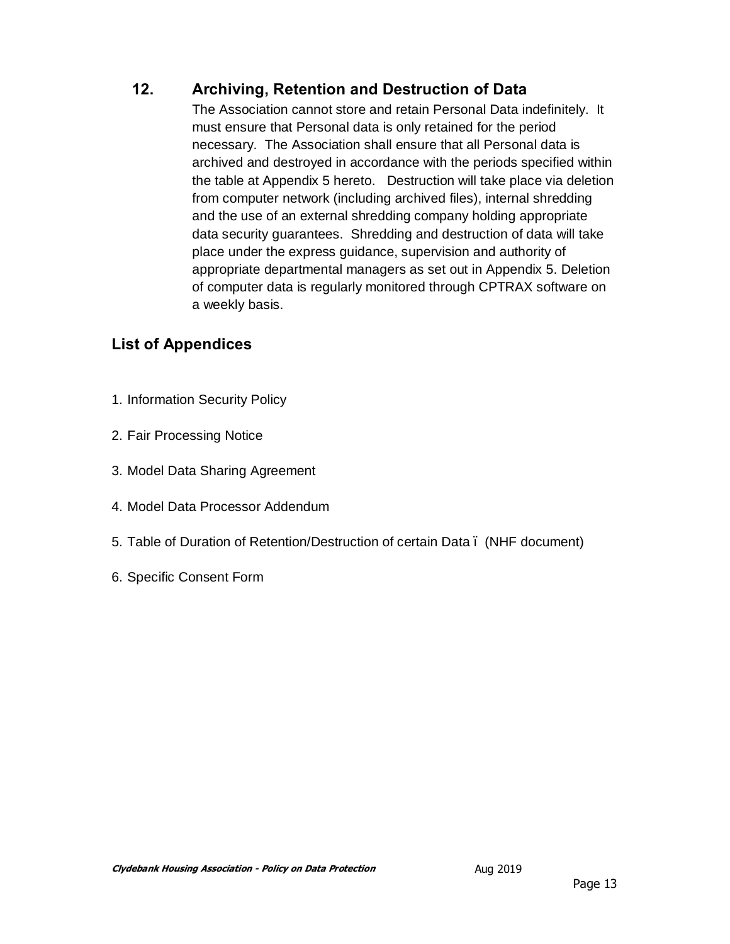# **12. Archiving, Retention and Destruction of Data**

The Association cannot store and retain Personal Data indefinitely. It must ensure that Personal data is only retained for the period necessary. The Association shall ensure that all Personal data is archived and destroyed in accordance with the periods specified within the table at Appendix 5 hereto. Destruction will take place via deletion from computer network (including archived files), internal shredding and the use of an external shredding company holding appropriate data security guarantees. Shredding and destruction of data will take place under the express guidance, supervision and authority of appropriate departmental managers as set out in Appendix 5. Deletion of computer data is regularly monitored through CPTRAX software on a weekly basis.

# **List of Appendices**

- 1. Information Security Policy
- 2. Fair Processing Notice
- 3. Model Data Sharing Agreement
- 4. Model Data Processor Addendum
- 5. Table of Duration of Retention/Destruction of certain Data (NHF document)
- 6. Specific Consent Form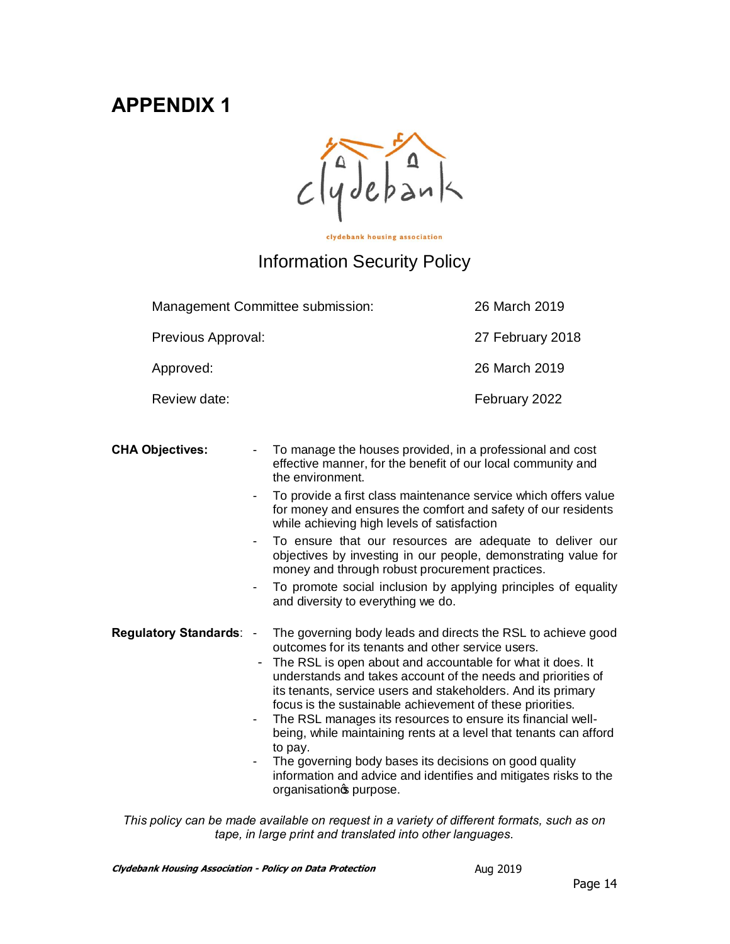# **APPENDIX 1**

 $clydebank$ 

clydebank housing association

# Information Security Policy

| Management Committee submission: |                | 26 March 2019                                                                                         |                                                                                                                                                                                                                                                                                                                                                                                                                                                                                                                                                                                                                                                |  |
|----------------------------------|----------------|-------------------------------------------------------------------------------------------------------|------------------------------------------------------------------------------------------------------------------------------------------------------------------------------------------------------------------------------------------------------------------------------------------------------------------------------------------------------------------------------------------------------------------------------------------------------------------------------------------------------------------------------------------------------------------------------------------------------------------------------------------------|--|
| Previous Approval:               |                |                                                                                                       | 27 February 2018                                                                                                                                                                                                                                                                                                                                                                                                                                                                                                                                                                                                                               |  |
| Approved:                        |                |                                                                                                       | 26 March 2019                                                                                                                                                                                                                                                                                                                                                                                                                                                                                                                                                                                                                                  |  |
| Review date:                     |                |                                                                                                       | February 2022                                                                                                                                                                                                                                                                                                                                                                                                                                                                                                                                                                                                                                  |  |
| <b>CHA Objectives:</b>           | $\blacksquare$ | the environment.<br>while achieving high levels of satisfaction<br>and diversity to everything we do. | To manage the houses provided, in a professional and cost<br>effective manner, for the benefit of our local community and<br>To provide a first class maintenance service which offers value<br>for money and ensures the comfort and safety of our residents<br>To ensure that our resources are adequate to deliver our<br>objectives by investing in our people, demonstrating value for<br>money and through robust procurement practices.<br>To promote social inclusion by applying principles of equality                                                                                                                               |  |
| <b>Regulatory Standards:</b>     | $\blacksquare$ | to pay.<br>organisationos purpose.                                                                    | The governing body leads and directs the RSL to achieve good<br>outcomes for its tenants and other service users.<br>The RSL is open about and accountable for what it does. It<br>understands and takes account of the needs and priorities of<br>its tenants, service users and stakeholders. And its primary<br>focus is the sustainable achievement of these priorities.<br>The RSL manages its resources to ensure its financial well-<br>being, while maintaining rents at a level that tenants can afford<br>The governing body bases its decisions on good quality<br>information and advice and identifies and mitigates risks to the |  |

*This policy can be made available on request in a variety of different formats, such as on tape, in large print and translated into other languages.*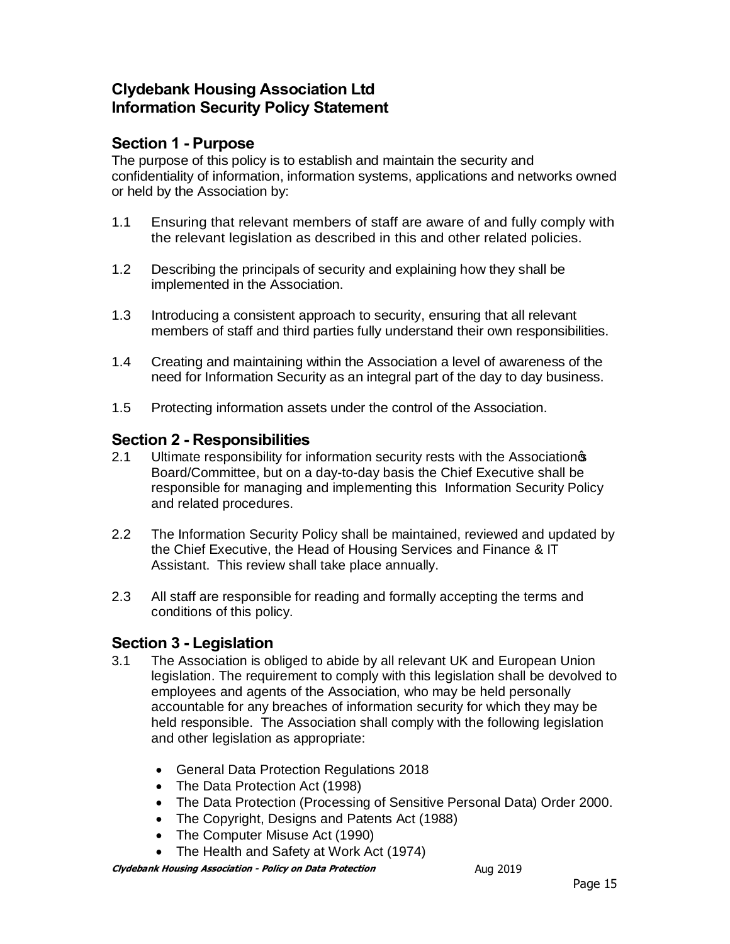# **Clydebank Housing Association Ltd Information Security Policy Statement**

## **Section 1 - Purpose**

The purpose of this policy is to establish and maintain the security and confidentiality of information, information systems, applications and networks owned or held by the Association by:

- 1.1 Ensuring that relevant members of staff are aware of and fully comply with the relevant legislation as described in this and other related policies.
- 1.2 Describing the principals of security and explaining how they shall be implemented in the Association.
- 1.3 Introducing a consistent approach to security, ensuring that all relevant members of staff and third parties fully understand their own responsibilities.
- 1.4 Creating and maintaining within the Association a level of awareness of the need for Information Security as an integral part of the day to day business.
- 1.5 Protecting information assets under the control of the Association.

## **Section 2 - Responsibilities**

- 2.1 Ultimate responsibility for information security rests with the Association<sup>s</sup> Board/Committee, but on a day-to-day basis the Chief Executive shall be responsible for managing and implementing this Information Security Policy and related procedures.
- 2.2 The Information Security Policy shall be maintained, reviewed and updated by the Chief Executive, the Head of Housing Services and Finance & IT Assistant. This review shall take place annually.
- 2.3 All staff are responsible for reading and formally accepting the terms and conditions of this policy.

## **Section 3 - Legislation**

- 3.1 The Association is obliged to abide by all relevant UK and European Union legislation. The requirement to comply with this legislation shall be devolved to employees and agents of the Association, who may be held personally accountable for any breaches of information security for which they may be held responsible. The Association shall comply with the following legislation and other legislation as appropriate:
	- · General Data Protection Regulations 2018
	- The Data Protection Act (1998)
	- · The Data Protection (Processing of Sensitive Personal Data) Order 2000.
	- · The Copyright, Designs and Patents Act (1988)
	- The Computer Misuse Act (1990)
	- · The Health and Safety at Work Act (1974)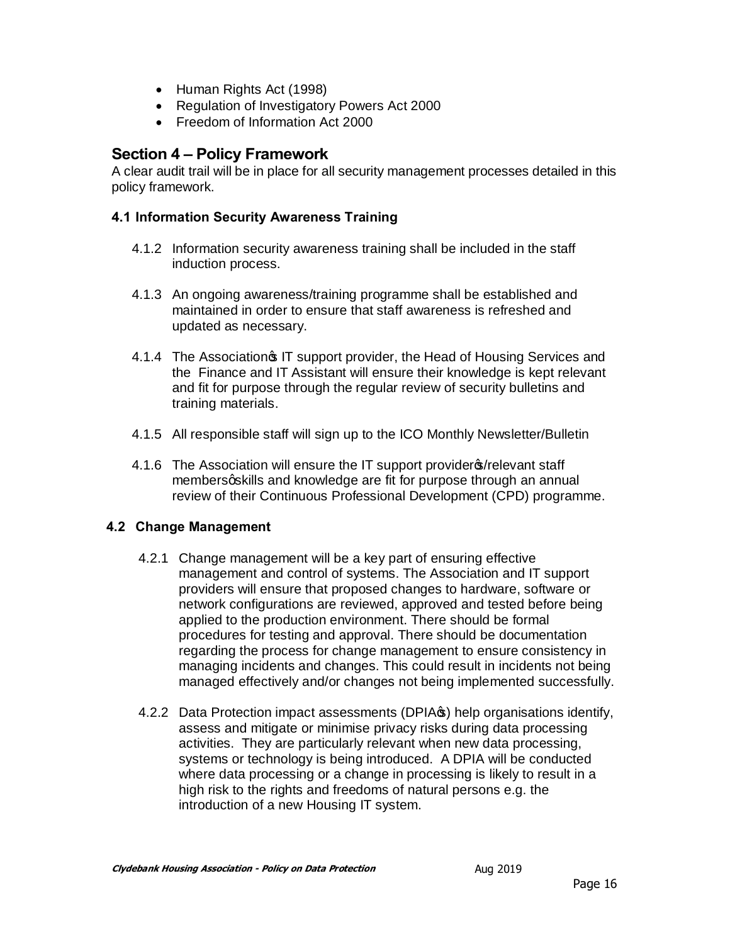- · Human Rights Act (1998)
- · Regulation of Investigatory Powers Act 2000
- Freedom of Information Act 2000

## **Section 4 – Policy Framework**

A clear audit trail will be in place for all security management processes detailed in this policy framework.

#### **4.1 Information Security Awareness Training**

- 4.1.2 Information security awareness training shall be included in the staff induction process.
- 4.1.3 An ongoing awareness/training programme shall be established and maintained in order to ensure that staff awareness is refreshed and updated as necessary.
- 4.1.4 The Association of IT support provider, the Head of Housing Services and the Finance and IT Assistant will ensure their knowledge is kept relevant and fit for purpose through the regular review of security bulletins and training materials.
- 4.1.5 All responsible staff will sign up to the ICO Monthly Newsletter/Bulletin
- 4.1.6 The Association will ensure the IT support provider \$/relevant staff membersgskills and knowledge are fit for purpose through an annual review of their Continuous Professional Development (CPD) programme.

## **4.2 Change Management**

- 4.2.1 Change management will be a key part of ensuring effective management and control of systems. The Association and IT support providers will ensure that proposed changes to hardware, software or network configurations are reviewed, approved and tested before being applied to the production environment. There should be formal procedures for testing and approval. There should be documentation regarding the process for change management to ensure consistency in managing incidents and changes. This could result in incidents not being managed effectively and/or changes not being implemented successfully.
- 4.2.2 Data Protection impact assessments (DPIA<sub>S</sub>) help organisations identify, assess and mitigate or minimise privacy risks during data processing activities. They are particularly relevant when new data processing, systems or technology is being introduced. A DPIA will be conducted where data processing or a change in processing is likely to result in a high risk to the rights and freedoms of natural persons e.g. the introduction of a new Housing IT system.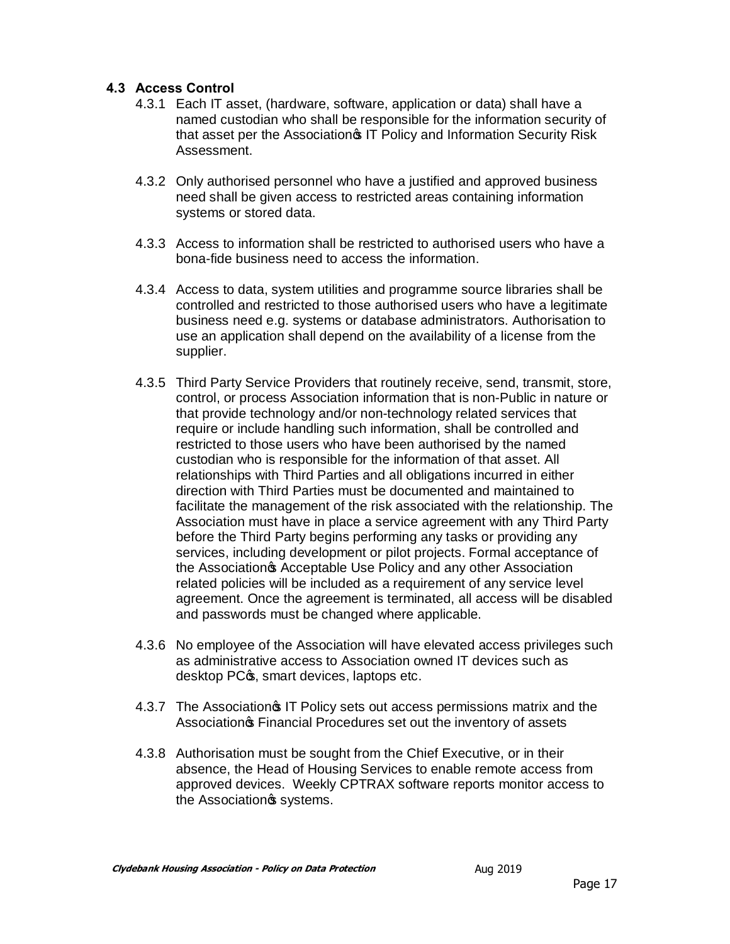### **4.3 Access Control**

- 4.3.1 Each IT asset, (hardware, software, application or data) shall have a named custodian who shall be responsible for the information security of that asset per the Association<sup>®</sup> IT Policy and Information Security Risk Assessment.
- 4.3.2 Only authorised personnel who have a justified and approved business need shall be given access to restricted areas containing information systems or stored data.
- 4.3.3 Access to information shall be restricted to authorised users who have a bona-fide business need to access the information.
- 4.3.4 Access to data, system utilities and programme source libraries shall be controlled and restricted to those authorised users who have a legitimate business need e.g. systems or database administrators. Authorisation to use an application shall depend on the availability of a license from the supplier.
- 4.3.5 Third Party Service Providers that routinely receive, send, transmit, store, control, or process Association information that is non-Public in nature or that provide technology and/or non-technology related services that require or include handling such information, shall be controlled and restricted to those users who have been authorised by the named custodian who is responsible for the information of that asset. All relationships with Third Parties and all obligations incurred in either direction with Third Parties must be documented and maintained to facilitate the management of the risk associated with the relationship. The Association must have in place a service agreement with any Third Party before the Third Party begins performing any tasks or providing any services, including development or pilot projects. Formal acceptance of the Association<sub>®</sub> Acceptable Use Policy and any other Association related policies will be included as a requirement of any service level agreement. Once the agreement is terminated, all access will be disabled and passwords must be changed where applicable.
- 4.3.6 No employee of the Association will have elevated access privileges such as administrative access to Association owned IT devices such as desktop PC $\infty$ , smart devices, laptops etc.
- 4.3.7 The Association **S** IT Policy sets out access permissions matrix and the Association<sub>®</sub> Financial Procedures set out the inventory of assets
- 4.3.8 Authorisation must be sought from the Chief Executive, or in their absence, the Head of Housing Services to enable remote access from approved devices. Weekly CPTRAX software reports monitor access to the Association<sup>®</sup> systems.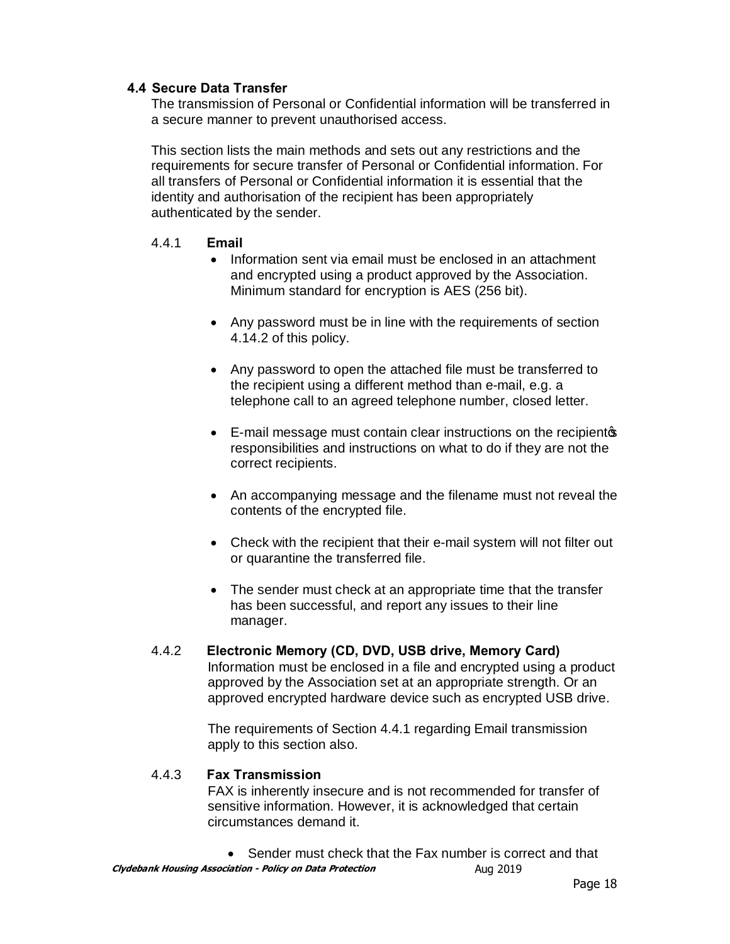#### **4.4 Secure Data Transfer**

The transmission of Personal or Confidential information will be transferred in a secure manner to prevent unauthorised access.

This section lists the main methods and sets out any restrictions and the requirements for secure transfer of Personal or Confidential information. For all transfers of Personal or Confidential information it is essential that the identity and authorisation of the recipient has been appropriately authenticated by the sender.

#### 4.4.1 **Email**

- · Information sent via email must be enclosed in an attachment and encrypted using a product approved by the Association. Minimum standard for encryption is AES (256 bit).
- Any password must be in line with the requirements of section 4.14.2 of this policy.
- · Any password to open the attached file must be transferred to the recipient using a different method than e-mail, e.g. a telephone call to an agreed telephone number, closed letter.
- E-mail message must contain clear instructions on the recipientop responsibilities and instructions on what to do if they are not the correct recipients.
- An accompanying message and the filename must not reveal the contents of the encrypted file.
- Check with the recipient that their e-mail system will not filter out or quarantine the transferred file.
- · The sender must check at an appropriate time that the transfer has been successful, and report any issues to their line manager.

#### 4.4.2 **Electronic Memory (CD, DVD, USB drive, Memory Card)**

Information must be enclosed in a file and encrypted using a product approved by the Association set at an appropriate strength. Or an approved encrypted hardware device such as encrypted USB drive.

The requirements of Section 4.4.1 regarding Email transmission apply to this section also.

#### 4.4.3 **Fax Transmission**

FAX is inherently insecure and is not recommended for transfer of sensitive information. However, it is acknowledged that certain circumstances demand it.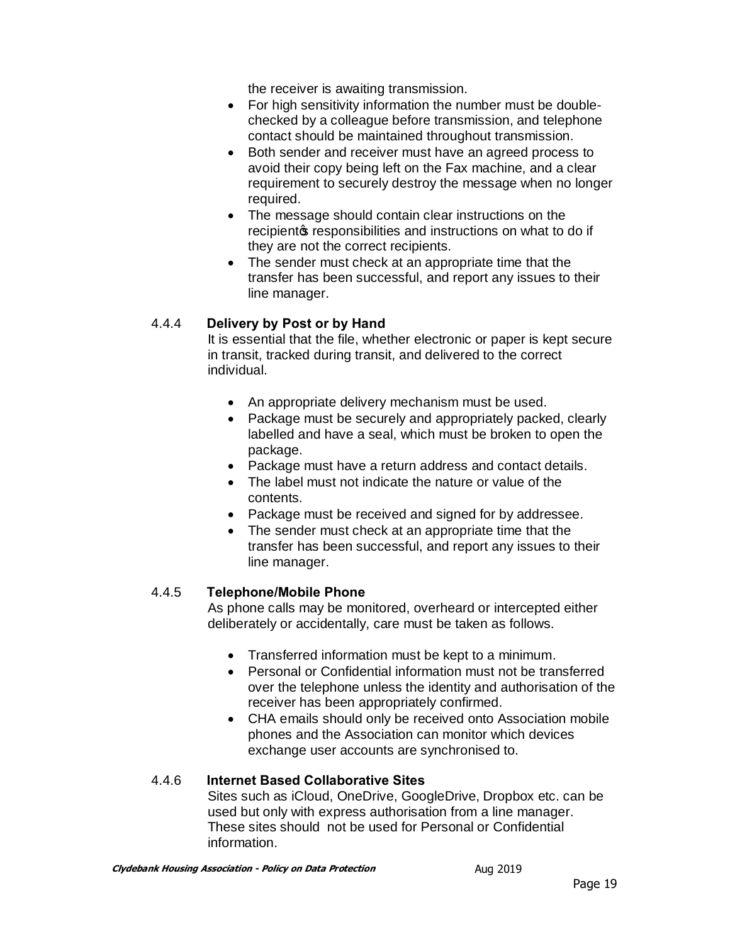the receiver is awaiting transmission.

- · For high sensitivity information the number must be doublechecked by a colleague before transmission, and telephone contact should be maintained throughout transmission.
- · Both sender and receiver must have an agreed process to avoid their copy being left on the Fax machine, and a clear requirement to securely destroy the message when no longer required.
- · The message should contain clear instructions on the recipient ts responsibilities and instructions on what to do if they are not the correct recipients.
- · The sender must check at an appropriate time that the transfer has been successful, and report any issues to their line manager.

## 4.4.4 **Delivery by Post or by Hand**

It is essential that the file, whether electronic or paper is kept secure in transit, tracked during transit, and delivered to the correct individual.

- An appropriate delivery mechanism must be used.
- Package must be securely and appropriately packed, clearly labelled and have a seal, which must be broken to open the package.
- · Package must have a return address and contact details.
- · The label must not indicate the nature or value of the contents.
- · Package must be received and signed for by addressee.
- The sender must check at an appropriate time that the transfer has been successful, and report any issues to their line manager.

## 4.4.5 **Telephone/Mobile Phone**

As phone calls may be monitored, overheard or intercepted either deliberately or accidentally, care must be taken as follows.

- · Transferred information must be kept to a minimum.
- · Personal or Confidential information must not be transferred over the telephone unless the identity and authorisation of the receiver has been appropriately confirmed.
- · CHA emails should only be received onto Association mobile phones and the Association can monitor which devices exchange user accounts are synchronised to.

## 4.4.6 **Internet Based Collaborative Sites**

Sites such as iCloud, OneDrive, GoogleDrive, Dropbox etc. can be used but only with express authorisation from a line manager. These sites should not be used for Personal or Confidential information.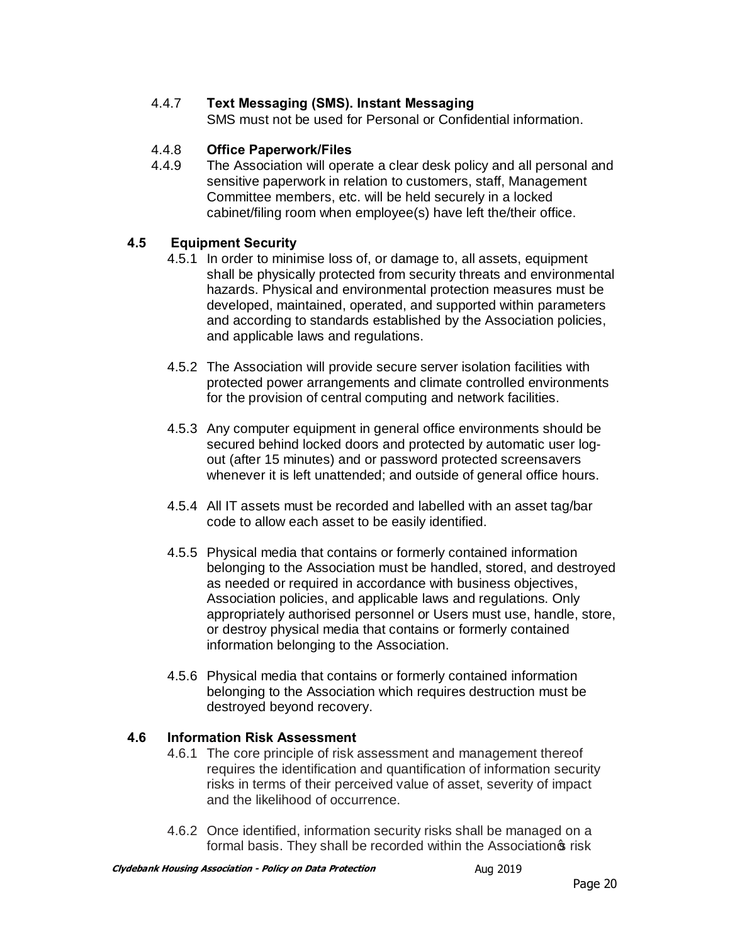## 4.4.7 **Text Messaging (SMS). Instant Messaging**

SMS must not be used for Personal or Confidential information.

### 4.4.8 **Office Paperwork/Files**

4.4.9 The Association will operate a clear desk policy and all personal and sensitive paperwork in relation to customers, staff, Management Committee members, etc. will be held securely in a locked cabinet/filing room when employee(s) have left the/their office.

#### **4.5 Equipment Security**

- 4.5.1 In order to minimise loss of, or damage to, all assets, equipment shall be physically protected from security threats and environmental hazards. Physical and environmental protection measures must be developed, maintained, operated, and supported within parameters and according to standards established by the Association policies, and applicable laws and regulations.
- 4.5.2 The Association will provide secure server isolation facilities with protected power arrangements and climate controlled environments for the provision of central computing and network facilities.
- 4.5.3 Any computer equipment in general office environments should be secured behind locked doors and protected by automatic user logout (after 15 minutes) and or password protected screensavers whenever it is left unattended; and outside of general office hours.
- 4.5.4 All IT assets must be recorded and labelled with an asset tag/bar code to allow each asset to be easily identified.
- 4.5.5 Physical media that contains or formerly contained information belonging to the Association must be handled, stored, and destroyed as needed or required in accordance with business objectives, Association policies, and applicable laws and regulations. Only appropriately authorised personnel or Users must use, handle, store, or destroy physical media that contains or formerly contained information belonging to the Association.
- 4.5.6 Physical media that contains or formerly contained information belonging to the Association which requires destruction must be destroyed beyond recovery.

#### **4.6 Information Risk Assessment**

- 4.6.1 The core principle of risk assessment and management thereof requires the identification and quantification of information security risks in terms of their perceived value of asset, severity of impact and the likelihood of occurrence.
- 4.6.2 Once identified, information security risks shall be managed on a formal basis. They shall be recorded within the Association of risk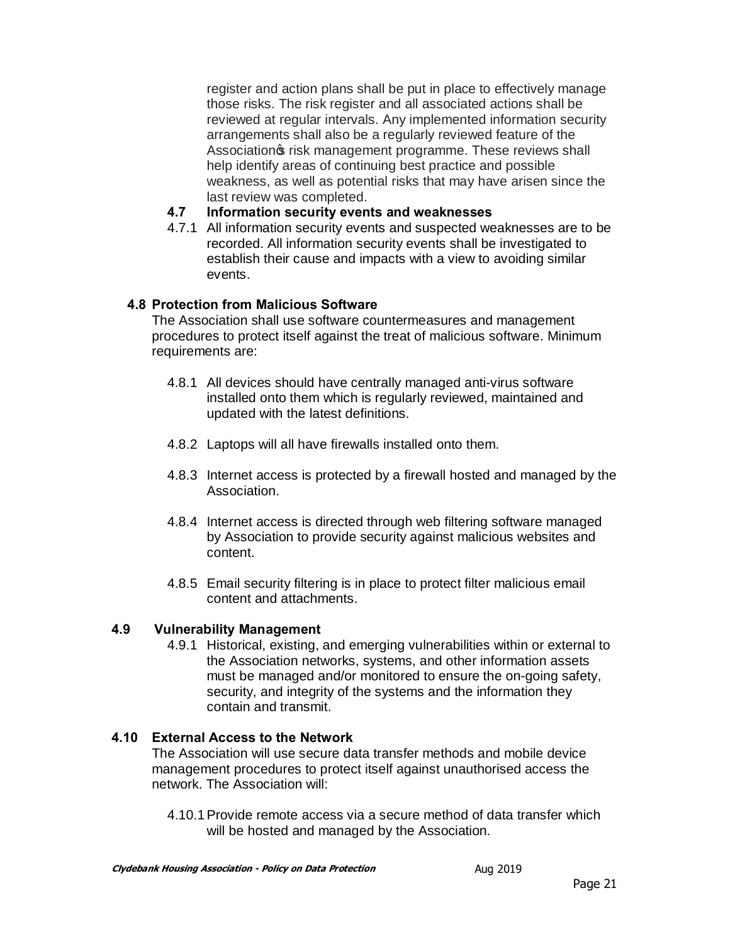register and action plans shall be put in place to effectively manage those risks. The risk register and all associated actions shall be reviewed at regular intervals. Any implemented information security arrangements shall also be a regularly reviewed feature of the Association of risk management programme. These reviews shall help identify areas of continuing best practice and possible weakness, as well as potential risks that may have arisen since the last review was completed.

#### **4.7 Information security events and weaknesses**

4.7.1 All information security events and suspected weaknesses are to be recorded. All information security events shall be investigated to establish their cause and impacts with a view to avoiding similar events.

#### **4.8 Protection from Malicious Software**

The Association shall use software countermeasures and management procedures to protect itself against the treat of malicious software. Minimum requirements are:

- 4.8.1 All devices should have centrally managed anti-virus software installed onto them which is regularly reviewed, maintained and updated with the latest definitions.
- 4.8.2 Laptops will all have firewalls installed onto them.
- 4.8.3 Internet access is protected by a firewall hosted and managed by the Association.
- 4.8.4 Internet access is directed through web filtering software managed by Association to provide security against malicious websites and content.
- 4.8.5 Email security filtering is in place to protect filter malicious email content and attachments.

## **4.9 Vulnerability Management**

4.9.1 Historical, existing, and emerging vulnerabilities within or external to the Association networks, systems, and other information assets must be managed and/or monitored to ensure the on-going safety, security, and integrity of the systems and the information they contain and transmit.

## **4.10 External Access to the Network**

The Association will use secure data transfer methods and mobile device management procedures to protect itself against unauthorised access the network. The Association will:

4.10.1Provide remote access via a secure method of data transfer which will be hosted and managed by the Association.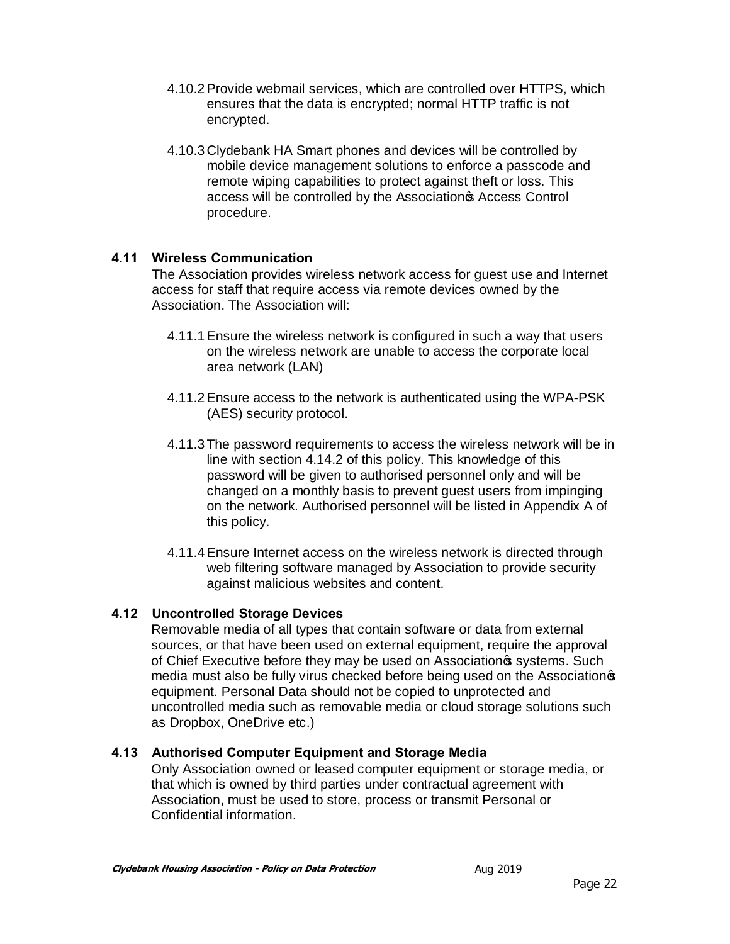- 4.10.2Provide webmail services, which are controlled over HTTPS, which ensures that the data is encrypted; normal HTTP traffic is not encrypted.
- 4.10.3 Clydebank HA Smart phones and devices will be controlled by mobile device management solutions to enforce a passcode and remote wiping capabilities to protect against theft or loss. This access will be controlled by the Association<sup>®</sup> Access Control procedure.

#### **4.11 Wireless Communication**

The Association provides wireless network access for guest use and Internet access for staff that require access via remote devices owned by the Association. The Association will:

- 4.11.1Ensure the wireless network is configured in such a way that users on the wireless network are unable to access the corporate local area network (LAN)
- 4.11.2Ensure access to the network is authenticated using the WPA-PSK (AES) security protocol.
- 4.11.3The password requirements to access the wireless network will be in line with section 4.14.2 of this policy. This knowledge of this password will be given to authorised personnel only and will be changed on a monthly basis to prevent guest users from impinging on the network. Authorised personnel will be listed in Appendix A of this policy.
- 4.11.4Ensure Internet access on the wireless network is directed through web filtering software managed by Association to provide security against malicious websites and content.

## **4.12 Uncontrolled Storage Devices**

Removable media of all types that contain software or data from external sources, or that have been used on external equipment, require the approval of Chief Executive before they may be used on Association<sup>®</sup> systems. Such media must also be fully virus checked before being used on the Association equipment. Personal Data should not be copied to unprotected and uncontrolled media such as removable media or cloud storage solutions such as Dropbox, OneDrive etc.)

#### **4.13 Authorised Computer Equipment and Storage Media**

Only Association owned or leased computer equipment or storage media, or that which is owned by third parties under contractual agreement with Association, must be used to store, process or transmit Personal or Confidential information.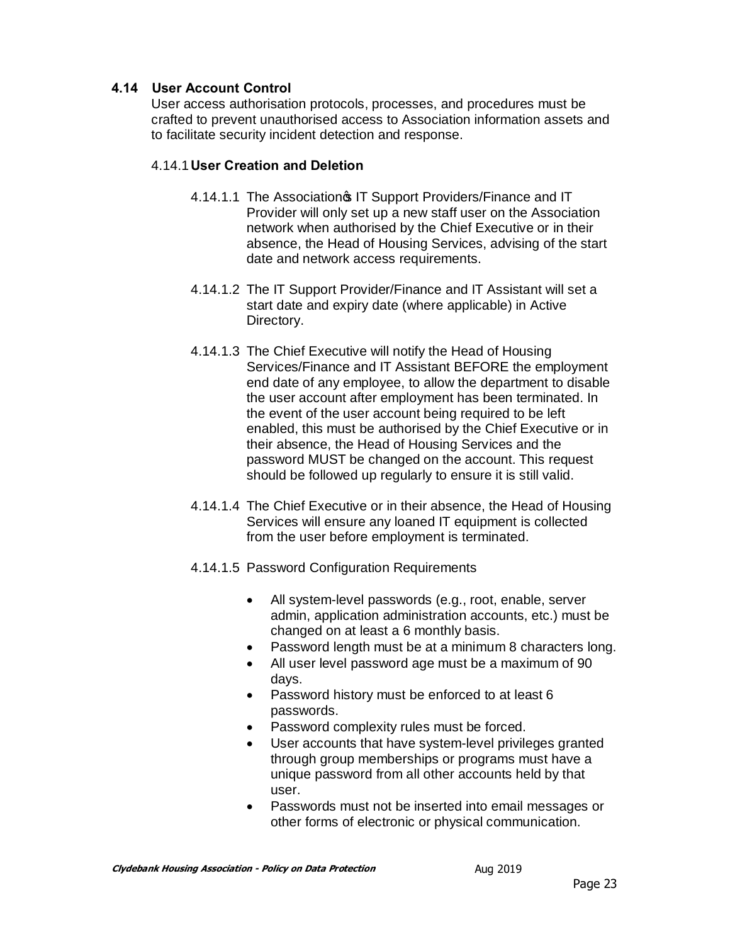### **4.14 User Account Control**

User access authorisation protocols, processes, and procedures must be crafted to prevent unauthorised access to Association information assets and to facilitate security incident detection and response.

#### 4.14.1**User Creation and Deletion**

- 4.14.1.1 The Association<sup>®</sup> IT Support Providers/Finance and IT Provider will only set up a new staff user on the Association network when authorised by the Chief Executive or in their absence, the Head of Housing Services, advising of the start date and network access requirements.
- 4.14.1.2 The IT Support Provider/Finance and IT Assistant will set a start date and expiry date (where applicable) in Active Directory.
- 4.14.1.3 The Chief Executive will notify the Head of Housing Services/Finance and IT Assistant BEFORE the employment end date of any employee, to allow the department to disable the user account after employment has been terminated. In the event of the user account being required to be left enabled, this must be authorised by the Chief Executive or in their absence, the Head of Housing Services and the password MUST be changed on the account. This request should be followed up regularly to ensure it is still valid.
- 4.14.1.4 The Chief Executive or in their absence, the Head of Housing Services will ensure any loaned IT equipment is collected from the user before employment is terminated.
- 4.14.1.5 Password Configuration Requirements
	- · All system-level passwords (e.g., root, enable, server admin, application administration accounts, etc.) must be changed on at least a 6 monthly basis.
	- · Password length must be at a minimum 8 characters long.
	- · All user level password age must be a maximum of 90 days.
	- · Password history must be enforced to at least 6 passwords.
	- · Password complexity rules must be forced.
	- User accounts that have system-level privileges granted through group memberships or programs must have a unique password from all other accounts held by that user.
	- · Passwords must not be inserted into email messages or other forms of electronic or physical communication.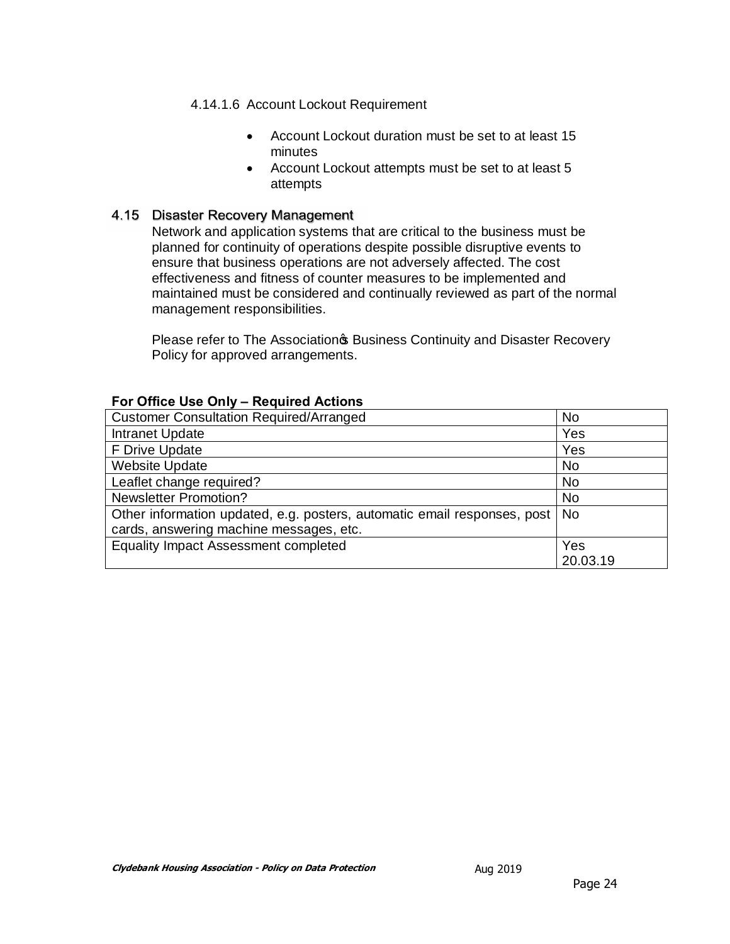#### 4.14.1.6 Account Lockout Requirement

- · Account Lockout duration must be set to at least 15 minutes
- · Account Lockout attempts must be set to at least 5 attempts

#### 4.15 Disaster Recovery Management

Network and application systems that are critical to the business must be planned for continuity of operations despite possible disruptive events to ensure that business operations are not adversely affected. The cost effectiveness and fitness of counter measures to be implemented and maintained must be considered and continually reviewed as part of the normal management responsibilities.

Please refer to The Association & Business Continuity and Disaster Recovery Policy for approved arrangements.

| <u>FUL UTILE USE UTILY – REQUITED ACTIVITY</u>                           |           |
|--------------------------------------------------------------------------|-----------|
| <b>Customer Consultation Required/Arranged</b>                           | <b>No</b> |
| Intranet Update                                                          | Yes       |
| F Drive Update                                                           | Yes       |
| <b>Website Update</b>                                                    | <b>No</b> |
| Leaflet change required?                                                 | <b>No</b> |
| <b>Newsletter Promotion?</b>                                             | <b>No</b> |
| Other information updated, e.g. posters, automatic email responses, post | <b>No</b> |
| cards, answering machine messages, etc.                                  |           |
| <b>Equality Impact Assessment completed</b>                              | Yes       |
|                                                                          | 20.03.19  |

#### **For Office Use Only – Required Actions**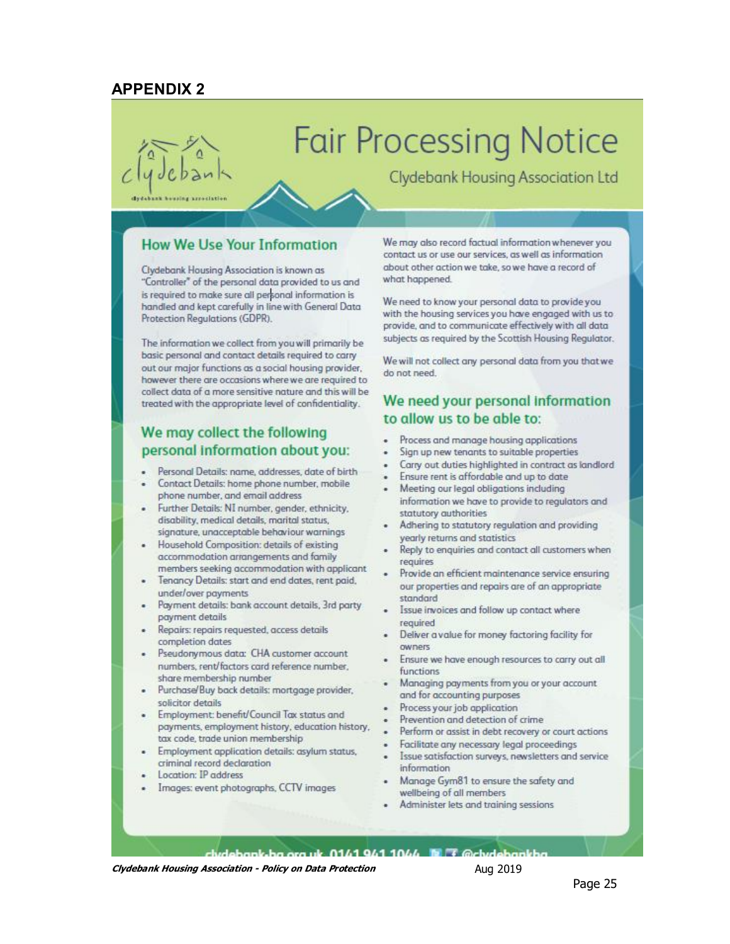## **APPENDIX 2**

# **Fair Processing Notice**

**Clydebank Housing Association Ltd** 

arroclation

#### **How We Use Your Information**

Clydebank Housing Association is known as "Controller" of the personal data provided to us and is required to make sure all personal information is handled and kept carefully in line with General Data Protection Regulations (GDPR).

The information we collect from you will primarily be basic personal and contact details required to carry out our major functions as a social housing provider, however there are occasions where we are required to collect data of a more sensitive nature and this will be treated with the appropriate level of confidentiality.

#### We may collect the following personal information about you:

- Personal Details: name, addresses, date of birth
- Contact Details: home phone number, mobile phone number, and email address
- Further Details: NI number, gender, ethnicity, disability, medical details, marital status, signature, unacceptable behaviour warnings
- · Household Composition: details of existing accommodation arrangements and family members seeking accommodation with applicant
- Tenancy Details: start and end dates, rent paid, under/over payments
- Payment details: bank account details, 3rd party payment details
- Repairs: repairs requested, access details completion dates
- Pseudonymous data: CHA customer account numbers, rent/factors card reference number, share membership number
- Purchase/Buy back details: mortgage provider, solicitor details
- Employment: benefit/Council Tax status and payments, employment history, education history, tax code, trade union membership
- Employment application details: asylum status, criminal record declaration
- Location: IP address
- Images: event photographs, CCTV images

We may also record factual information whenever you contact us or use our services, as well as information about other action we take, so we have a record of what happened.

We need to know your personal data to provide you with the housing services you have engaged with us to provide, and to communicate effectively with all data subjects as required by the Scottish Housing Regulator.

We will not collect any personal data from you that we heen ton ob

## We need your personal information to allow us to be able to:

- Process and manage housing applications
- Sign up new tenants to suitable properties
- Carry out duties highlighted in contract as landlord
- Ensure rent is affordable and up to date
- Meeting our legal obligations including information we have to provide to regulators and statutory authorities
- Adhering to statutory regulation and providing yearly returns and statistics
- Reply to enquiries and contact all customers when requires
- Provide an efficient maintenance service ensuring our properties and repairs are of an appropriate standard
- Issue invoices and follow up contact where required
- Deliver a value for money factoring facility for owners
- Ensure we have enough resources to carry out all functions
- Managing payments from you or your account and for accounting purposes
- Process your job application
- Prevention and detection of crime
- Perform or assist in debt recovery or court actions
- Facilitate any necessary legal proceedings
- Issue satisfaction surveys, newsletters and service information
- Manage Gym81 to ensure the safety and wellbeing of all members
- Administer lets and training sessions

dudebank ba ora uk. 0141 941 1044 la T @chydebankho

**Clydebank Housing Association - Policy on Data Protection** Aug 2019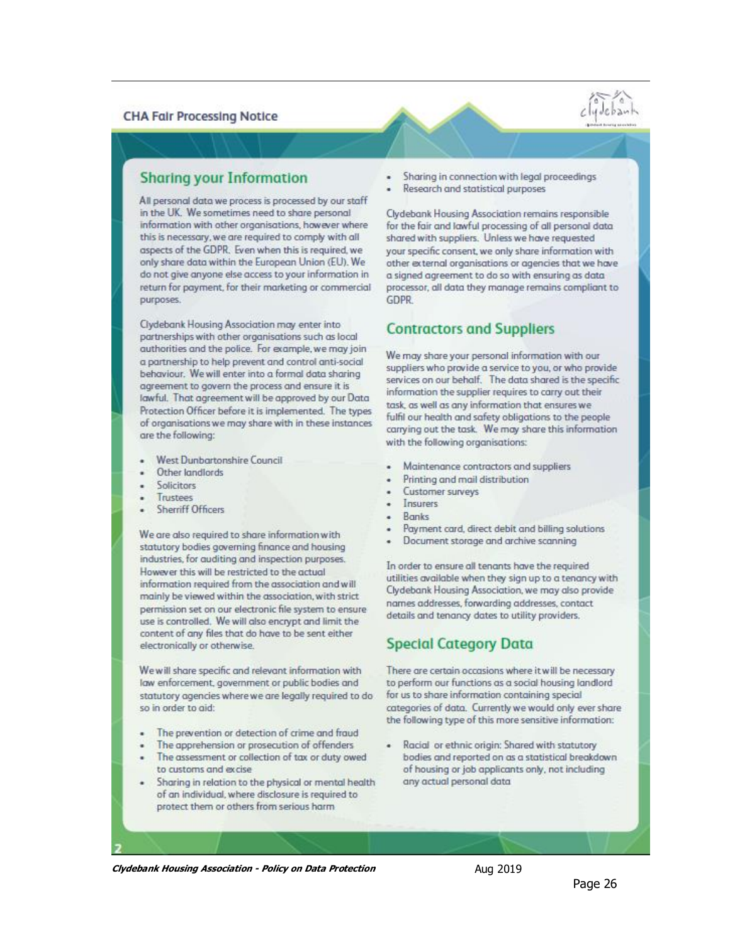#### **CHA Fair Processing Notice**

#### **Sharing your Information**

All personal data we process is processed by our staff in the UK. We sometimes need to share personal information with other organisations, however where this is necessary, we are required to comply with all aspects of the GDPR. Even when this is required, we only share data within the European Union (EU). We do not give anyone else access to your information in return for payment, for their marketing or commercial purposes.

Ciydebank Housing Association may enter into partnerships with other organisations such as local authorities and the police. For example, we may join a partnership to help prevent and control anti-social behaviour. We will enter into a formal data sharing agreement to govern the process and ensure it is lawful. That agreement will be approved by our Data Protection Officer before it is implemented. The types of organisations we may share with in these instances are the following:

- West Dunbartonshire Council
- Other landlords
- Solicitors
- Trustees
- **Sherriff Officers**

We are also required to share information with statutory bodies governing finance and housing industries, for auditing and inspection purposes. However this will be restricted to the actual information required from the association and will mainly be viewed within the association, with strict permission set on our electronic file system to ensure use is controlled. We will also encrypt and limit the content of any files that do have to be sent either electronically or otherwise.

We will share specific and relevant information with law enforcement, government or public bodies and statutory agencies where we are legally required to do so in order to aid:

- The prevention or detection of crime and fraud
- The apprehension or prosecution of offenders
- The assessment or collection of tax or duty owed to customs and excise
- Sharing in relation to the physical or mental health of an individual, where disclosure is required to protect them or others from serious harm
- Sharing in connection with legal proceedings
- Research and statistical purposes

Clydebank Housing Association remains responsible for the fair and lawful processing of all personal data shared with suppliers. Unless we have requested your specific consent, we only share information with other external organisations or agencies that we have a signed agreement to do so with ensuring as data processor, all data they manage remains compliant to GDPR

#### **Contractors and Suppliers**

We may share your personal information with our suppliers who provide a service to you, or who provide services on our behalf. The data shared is the specific information the supplier requires to carry out their task, as well as any information that ensures we fulfil our health and safety obligations to the people carrying out the task. We may share this information with the following organisations:

- Maintenance contractors and suppliers
- Printing and mail distribution
- Customer surveys
- Insurers
- **Ronks**
- Payment card, direct debit and billing solutions
- Document storage and archive scanning

In order to ensure all tenants have the required utilities available when they sign up to a tenancy with Clydebank Housing Association, we may also provide names addresses, forwarding addresses, contact details and tenancy dates to utility providers.

## **Special Category Data**

There are certain occasions where it will be necessary to perform our functions as a social housing landlord for us to share information containing special categories of data. Currently we would only ever share the following type of this more sensitive information:

Racial or ethnic origin: Shared with statutory bodies and reported on as a statistical breakdown of housing or job applicants only, not including any actual personal data

**Clydebank Housing Association - Policy on Data Protection** Aug 2019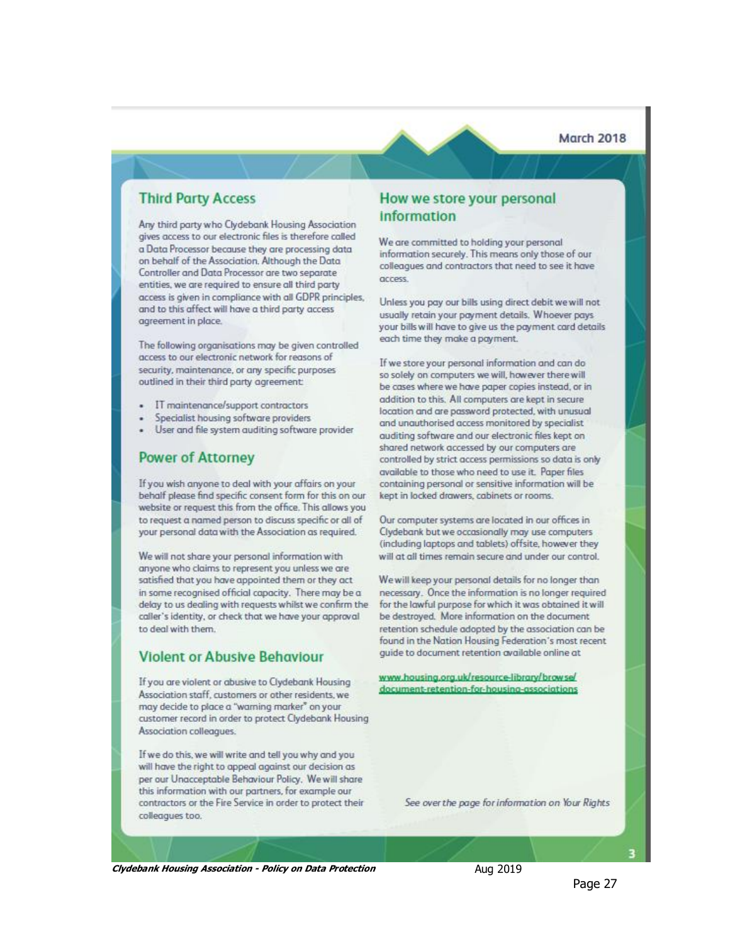**March 2018** 

#### **Third Party Access**

Any third party who Clydebank Housing Association gives access to our electronic files is therefore called a Data Processor because they are processing data on behalf of the Association. Although the Data Controller and Data Processor are two separate entities, we are required to ensure all third party access is given in compliance with all GDPR principles, and to this affect will have a third party access agreement in place.

The following organisations may be given controlled access to our electronic network for reasons of security, maintenance, or any specific purposes outlined in their third party agreement:

- IT maintenance/support contractors
- Specialist housing software providers
- · User and file system auditing software provider

#### **Power of Attorney**

If you wish anyone to deal with your affairs on your behalf please find specific consent form for this on our website or request this from the office. This allows you to request a named person to discuss specific or all of your personal data with the Association as required.

We will not share your personal information with anyone who claims to represent you unless we are satisfied that you have appointed them or they act in some recognised official capacity. There may be a delay to us dealing with requests whilst we confirm the caller's identity, or check that we have your approval to deal with them.

#### **Violent or Abusive Behaviour**

If you are violent or abusive to Clydebank Housing Association staff, customers or other residents, we may decide to place a "warning marker" on your customer record in order to protect Clydebank Housing Association colleagues.

If we do this, we will write and tell you why and you will have the right to appeal against our decision as per our Unacceptable Behaviour Policy. We will share this information with our partners, for example our contractors or the Fire Service in order to protect their colleagues too.

#### How we store your personal **information**

We are committed to holding your personal information securely. This means only those of our colleagues and contractors that need to see it have access.

Unless you pay our bills using direct debit we will not usually retain your payment details. Whoever paysyour bills will have to give us the payment card details each time they make a payment.

If we store your personal information and can do so solely on computers we will, however there will be cases where we have paper copies instead, or in addition to this. All computers are kept in secure location and are password protected, with unusual and unauthorised access monitored by specialist auditing software and our electronic files kept on shared network accessed by our computers are controlled by strict access permissions so data is only available to those who need to use it. Paper files containing personal or sensitive information will be kept in locked drawers, cabinets or rooms.

Our computer systems are located in our offices in Clydebank but we occasionally may use computers (including laptops and tablets) offsite, however they will at all times remain secure and under our control.

We will keep your personal details for no longer than necessary. Once the information is no longer required for the lawful purpose for which it was obtained it will be destroyed. More information on the document retention schedule adopted by the association can be found in the Nation Housing Federation's most recent guide to document retention available online at

www.housing.org.uk/resource-library/browse/ document-retention-for-housing-associations

See over the page for information on Your Rights

**Clydebank Housing Association - Policy on Data Protection** Aug 2019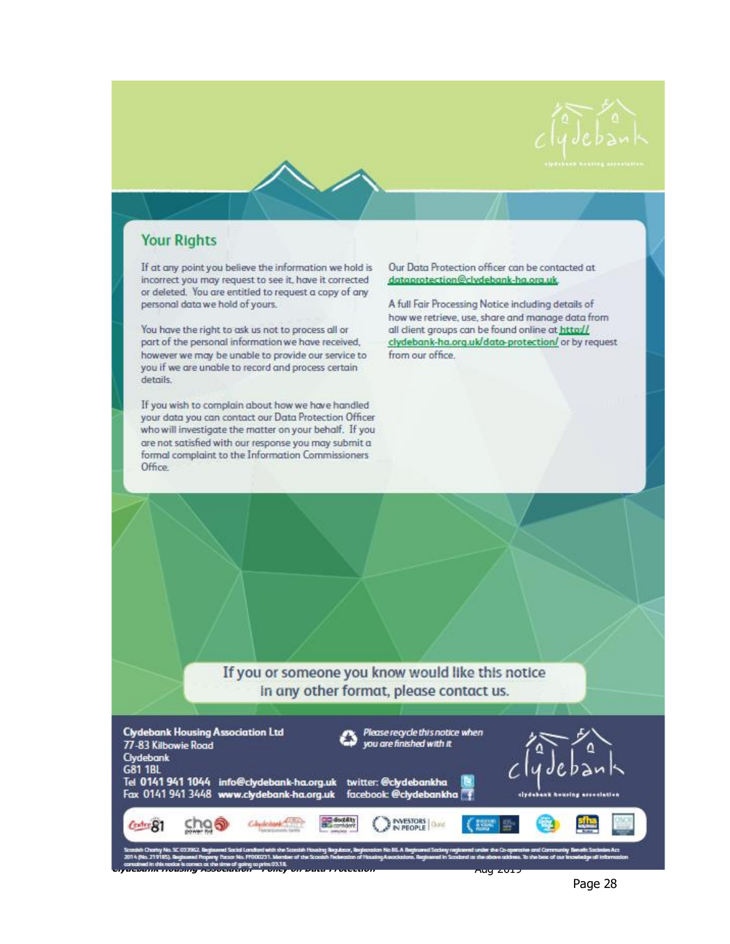



# **Your Rights**

If at any point you believe the information we hold is incorrect you may request to see it, have it corrected or deleted. You are entitled to request a copy of any personal data we hold of yours.

You have the right to ask us not to process all or part of the personal information we have received, however we may be unable to provide our service to you if we are unable to record and process certain details.

If you wish to complain about how we have handled your data you can contact our Data Protection Officer who will investigate the matter on your behalf. If you are not satisfied with our response you may submit a formal complaint to the Information Commissioners Office.

Our Data Protection officer can be contacted at dataprotection@clvdebank-ha.org.uk

A full Fair Processing Notice including details of how we retrieve, use, share and manage data from all client groups can be found online at http:// clydebank-ha.org.uk/data-protection/ or by request from our office.

If you or someone you know would like this notice In any other format, please contact us.



**Clydebank Housing Association -Policy on Data Protection** Aug 2019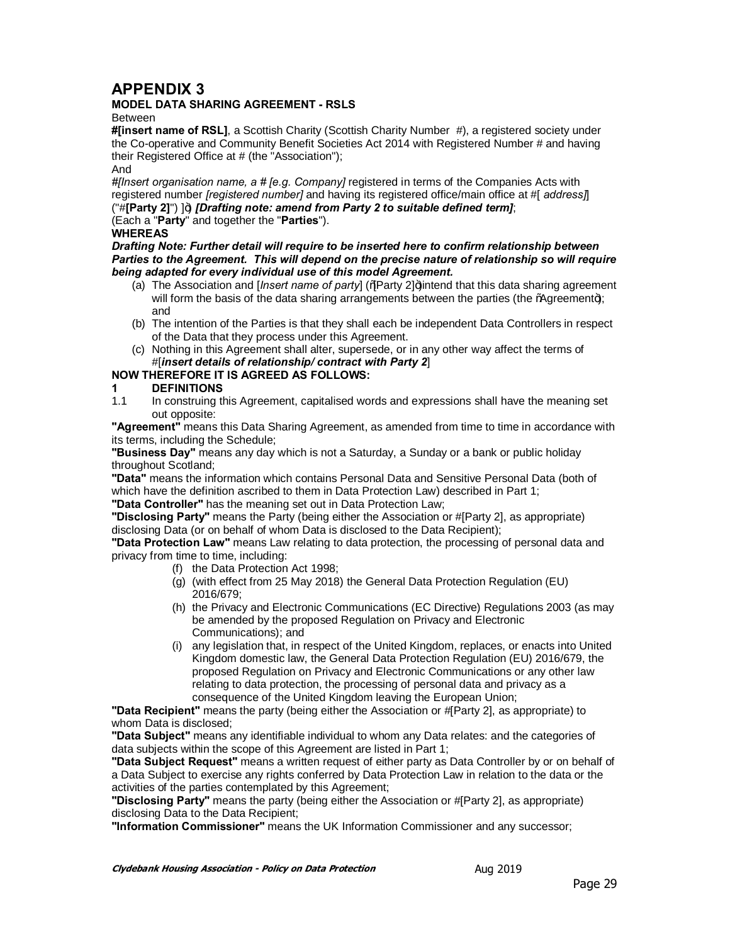## **APPENDIX 3**

#### **MODEL DATA SHARING AGREEMENT - RSLS**

Between

**#[insert name of RSL]**, a Scottish Charity (Scottish Charity Number #), a registered society under the Co-operative and Community Benefit Societies Act 2014 with Registered Number # and having their Registered Office at # (the "Association");

#### And

*#[Insert organisation name, a # [e.g. Company]* registered in terms of the Companies Acts with registered number *[registered number]* and having its registered office/main office at #[ *address]*] ("#[Party 2]") ]+) *[Drafting note: amend from Party 2 to suitable defined term]*;

(Each a "**Party**" and together the "**Parties**").

#### **WHEREAS**

*Drafting Note: Further detail will require to be inserted here to confirm relationship between Parties to the Agreement. This will depend on the precise nature of relationship so will require being adapted for every individual use of this model Agreement.*

- (a) The Association and [*Insert name of party*] (%Party 2]+)intend that this data sharing agreement will form the basis of the data sharing arrangements between the parties (the %Agreement+); and
- (b) The intention of the Parties is that they shall each be independent Data Controllers in respect of the Data that they process under this Agreement.
- (c) Nothing in this Agreement shall alter, supersede, or in any other way affect the terms of #[*insert details of relationship/ contract with Party 2*]

#### **NOW THEREFORE IT IS AGREED AS FOLLOWS:**

# **1 DEFINITIONS**

In construing this Agreement, capitalised words and expressions shall have the meaning set out opposite:

**"Agreement"** means this Data Sharing Agreement, as amended from time to time in accordance with its terms, including the Schedule;

**"Business Day"** means any day which is not a Saturday, a Sunday or a bank or public holiday throughout Scotland;

**"Data"** means the information which contains Personal Data and Sensitive Personal Data (both of which have the definition ascribed to them in Data Protection Law) described in Part 1;

**"Data Controller"** has the meaning set out in Data Protection Law;

**"Disclosing Party"** means the Party (being either the Association or #[Party 2], as appropriate) disclosing Data (or on behalf of whom Data is disclosed to the Data Recipient);

**"Data Protection Law"** means Law relating to data protection, the processing of personal data and privacy from time to time, including:

- (f) the Data Protection Act 1998;
- (g) (with effect from 25 May 2018) the General Data Protection Regulation (EU) 2016/679;
- (h) the Privacy and Electronic Communications (EC Directive) Regulations 2003 (as may be amended by the proposed Regulation on Privacy and Electronic Communications); and
- (i) any legislation that, in respect of the United Kingdom, replaces, or enacts into United Kingdom domestic law, the General Data Protection Regulation (EU) 2016/679, the proposed Regulation on Privacy and Electronic Communications or any other law relating to data protection, the processing of personal data and privacy as a consequence of the United Kingdom leaving the European Union;

**"Data Recipient"** means the party (being either the Association or #[Party 2], as appropriate) to whom Data is disclosed;

**"Data Subject"** means any identifiable individual to whom any Data relates: and the categories of data subjects within the scope of this Agreement are listed in Part 1;

**"Data Subject Request"** means a written request of either party as Data Controller by or on behalf of a Data Subject to exercise any rights conferred by Data Protection Law in relation to the data or the activities of the parties contemplated by this Agreement;

**"Disclosing Party"** means the party (being either the Association or #[Party 2], as appropriate) disclosing Data to the Data Recipient;

**"Information Commissioner"** means the UK Information Commissioner and any successor;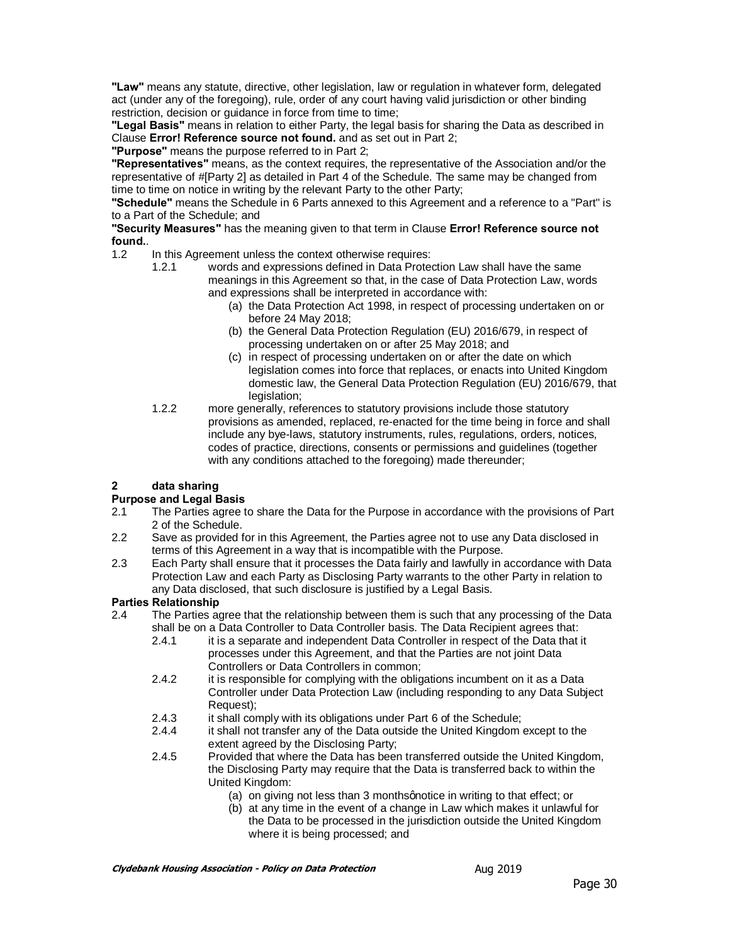**"Law"** means any statute, directive, other legislation, law or regulation in whatever form, delegated act (under any of the foregoing), rule, order of any court having valid jurisdiction or other binding restriction, decision or guidance in force from time to time;

**"Legal Basis"** means in relation to either Party, the legal basis for sharing the Data as described in Clause **Error! Reference source not found.** and as set out in Part 2;

**"Purpose"** means the purpose referred to in Part 2;

**"Representatives"** means, as the context requires, the representative of the Association and/or the representative of #[Party 2] as detailed in Part 4 of the Schedule. The same may be changed from time to time on notice in writing by the relevant Party to the other Party;

**"Schedule"** means the Schedule in 6 Parts annexed to this Agreement and a reference to a "Part" is to a Part of the Schedule; and

**"Security Measures"** has the meaning given to that term in Clause **Error! Reference source not found.**.

1.2 In this Agreement unless the context otherwise requires:

- 1.2.1 words and expressions defined in Data Protection Law shall have the same meanings in this Agreement so that, in the case of Data Protection Law, words and expressions shall be interpreted in accordance with:
	- (a) the Data Protection Act 1998, in respect of processing undertaken on or before 24 May 2018;
	- (b) the General Data Protection Regulation (EU) 2016/679, in respect of processing undertaken on or after 25 May 2018; and
	- (c) in respect of processing undertaken on or after the date on which legislation comes into force that replaces, or enacts into United Kingdom domestic law, the General Data Protection Regulation (EU) 2016/679, that legislation:
- 1.2.2 more generally, references to statutory provisions include those statutory provisions as amended, replaced, re-enacted for the time being in force and shall include any bye-laws, statutory instruments, rules, regulations, orders, notices, codes of practice, directions, consents or permissions and guidelines (together with any conditions attached to the foregoing) made thereunder;

#### **2 data sharing**

#### **Purpose and Legal Basis**

- 2.1 The Parties agree to share the Data for the Purpose in accordance with the provisions of Part 2 of the Schedule.
- 2.2 Save as provided for in this Agreement, the Parties agree not to use any Data disclosed in terms of this Agreement in a way that is incompatible with the Purpose.
- 2.3 Each Party shall ensure that it processes the Data fairly and lawfully in accordance with Data Protection Law and each Party as Disclosing Party warrants to the other Party in relation to any Data disclosed, that such disclosure is justified by a Legal Basis.

#### **Parties Relationship**

- 2.4 The Parties agree that the relationship between them is such that any processing of the Data shall be on a Data Controller to Data Controller basis. The Data Recipient agrees that:
	- 2.4.1 it is a separate and independent Data Controller in respect of the Data that it processes under this Agreement, and that the Parties are not joint Data Controllers or Data Controllers in common;
	- 2.4.2 it is responsible for complying with the obligations incumbent on it as a Data Controller under Data Protection Law (including responding to any Data Subject Request);
	- 2.4.3 it shall comply with its obligations under Part 6 of the Schedule;<br>2.4.4 it shall not transfer any of the Data outside the United Kingdom
	- it shall not transfer any of the Data outside the United Kingdom except to the extent agreed by the Disclosing Party;
	- 2.4.5 Provided that where the Data has been transferred outside the United Kingdom, the Disclosing Party may require that the Data is transferred back to within the United Kingdom:
		- (a) on giving not less than 3 months gnotice in writing to that effect; or
		- (b) at any time in the event of a change in Law which makes it unlawful for the Data to be processed in the jurisdiction outside the United Kingdom where it is being processed; and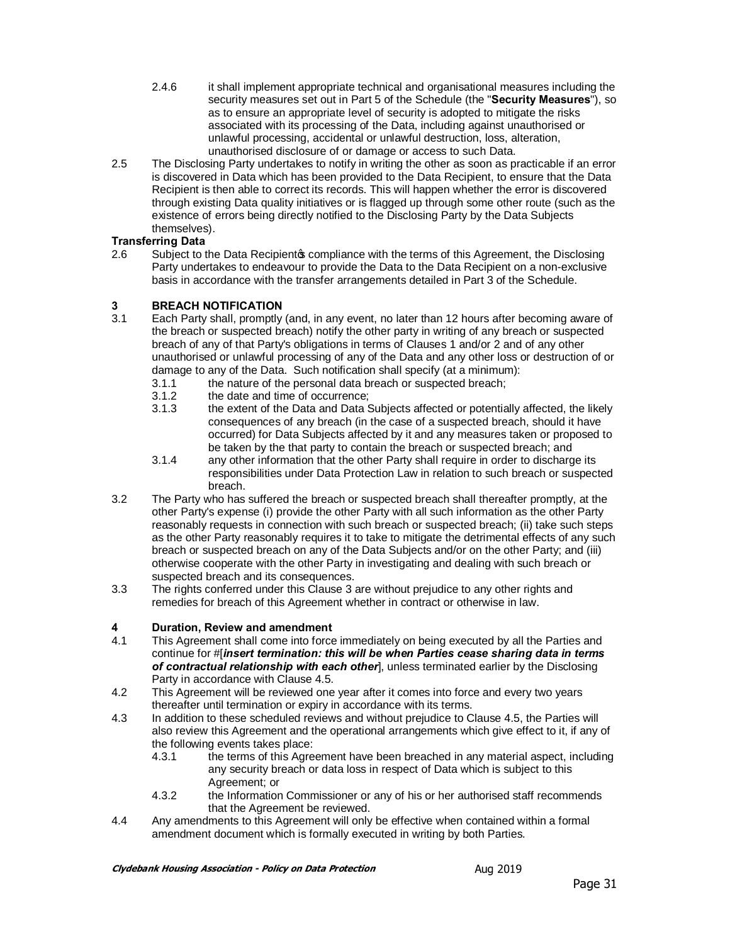- 2.4.6 it shall implement appropriate technical and organisational measures including the security measures set out in Part 5 of the Schedule (the "**Security Measures**"), so as to ensure an appropriate level of security is adopted to mitigate the risks associated with its processing of the Data, including against unauthorised or unlawful processing, accidental or unlawful destruction, loss, alteration, unauthorised disclosure of or damage or access to such Data.
- 2.5 The Disclosing Party undertakes to notify in writing the other as soon as practicable if an error is discovered in Data which has been provided to the Data Recipient, to ensure that the Data Recipient is then able to correct its records. This will happen whether the error is discovered through existing Data quality initiatives or is flagged up through some other route (such as the existence of errors being directly notified to the Disclosing Party by the Data Subjects themselves).

#### **Transferring Data**

2.6 Subject to the Data Recipient opcompliance with the terms of this Agreement, the Disclosing Party undertakes to endeavour to provide the Data to the Data Recipient on a non-exclusive basis in accordance with the transfer arrangements detailed in Part 3 of the Schedule.

#### **3 BREACH NOTIFICATION**

- 3.1 Each Party shall, promptly (and, in any event, no later than 12 hours after becoming aware of the breach or suspected breach) notify the other party in writing of any breach or suspected breach of any of that Party's obligations in terms of Clauses 1 and/or 2 and of any other unauthorised or unlawful processing of any of the Data and any other loss or destruction of or damage to any of the Data. Such notification shall specify (at a minimum):
	- 3.1.1 the nature of the personal data breach or suspected breach;<br>3.1.2 the date and time of occurrence:
	- the date and time of occurrence:
	- 3.1.3 the extent of the Data and Data Subjects affected or potentially affected, the likely consequences of any breach (in the case of a suspected breach, should it have occurred) for Data Subjects affected by it and any measures taken or proposed to be taken by the that party to contain the breach or suspected breach; and
	- 3.1.4 any other information that the other Party shall require in order to discharge its responsibilities under Data Protection Law in relation to such breach or suspected breach.
- 3.2 The Party who has suffered the breach or suspected breach shall thereafter promptly, at the other Party's expense (i) provide the other Party with all such information as the other Party reasonably requests in connection with such breach or suspected breach; (ii) take such steps as the other Party reasonably requires it to take to mitigate the detrimental effects of any such breach or suspected breach on any of the Data Subjects and/or on the other Party; and (iii) otherwise cooperate with the other Party in investigating and dealing with such breach or suspected breach and its consequences.
- 3.3 The rights conferred under this Clause 3 are without prejudice to any other rights and remedies for breach of this Agreement whether in contract or otherwise in law.

#### **4 Duration, Review and amendment**

- 4.1 This Agreement shall come into force immediately on being executed by all the Parties and continue for #[*insert termination: this will be when Parties cease sharing data in terms of contractual relationship with each other*], unless terminated earlier by the Disclosing Party in accordance with Clause 4.5.
- 4.2 This Agreement will be reviewed one year after it comes into force and every two years thereafter until termination or expiry in accordance with its terms.
- 4.3 In addition to these scheduled reviews and without prejudice to Clause 4.5, the Parties will also review this Agreement and the operational arrangements which give effect to it, if any of the following events takes place:
	- 4.3.1 the terms of this Agreement have been breached in any material aspect, including any security breach or data loss in respect of Data which is subject to this Agreement; or
	- 4.3.2 the Information Commissioner or any of his or her authorised staff recommends that the Agreement be reviewed.
- 4.4 Any amendments to this Agreement will only be effective when contained within a formal amendment document which is formally executed in writing by both Parties.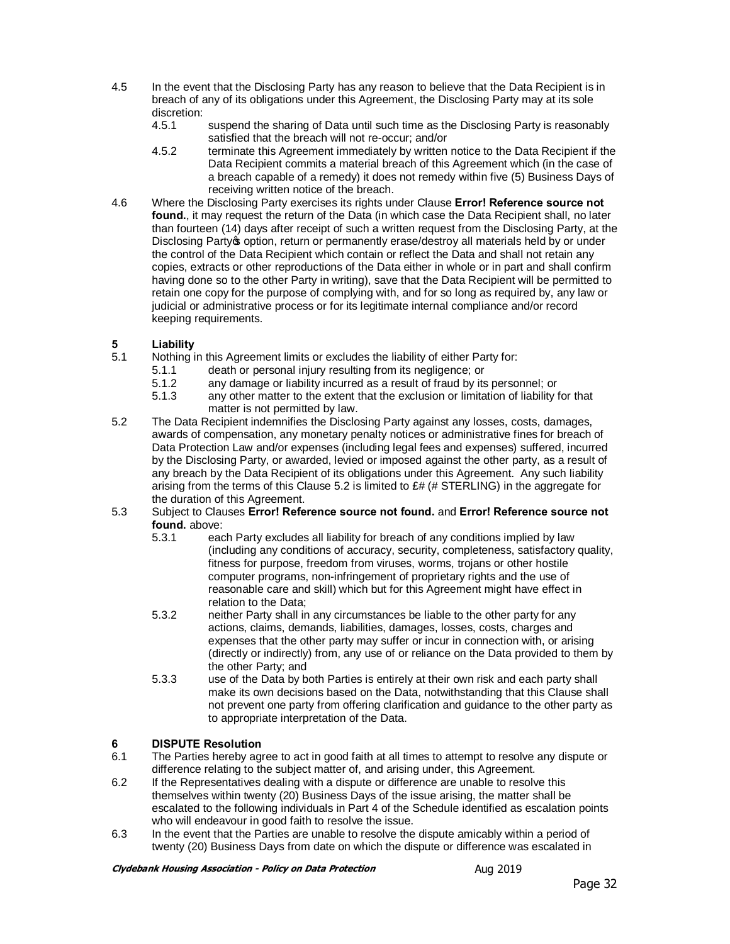- 4.5 In the event that the Disclosing Party has any reason to believe that the Data Recipient is in breach of any of its obligations under this Agreement, the Disclosing Party may at its sole discretion:
	- 4.5.1 suspend the sharing of Data until such time as the Disclosing Party is reasonably satisfied that the breach will not re-occur; and/or
	- 4.5.2 terminate this Agreement immediately by written notice to the Data Recipient if the Data Recipient commits a material breach of this Agreement which (in the case of a breach capable of a remedy) it does not remedy within five (5) Business Days of receiving written notice of the breach.
- 4.6 Where the Disclosing Party exercises its rights under Clause **Error! Reference source not found.**, it may request the return of the Data (in which case the Data Recipient shall, no later than fourteen (14) days after receipt of such a written request from the Disclosing Party, at the Disclosing Partyo option, return or permanently erase/destroy all materials held by or under the control of the Data Recipient which contain or reflect the Data and shall not retain any copies, extracts or other reproductions of the Data either in whole or in part and shall confirm having done so to the other Party in writing), save that the Data Recipient will be permitted to retain one copy for the purpose of complying with, and for so long as required by, any law or judicial or administrative process or for its legitimate internal compliance and/or record keeping requirements.

#### **5 Liability**

- 5.1 Nothing in this Agreement limits or excludes the liability of either Party for:
	- 5.1.1 death or personal injury resulting from its negligence; or<br>5.1.2 any damage or liability incurred as a result of fraud by its
	- 5.1.2 any damage or liability incurred as a result of fraud by its personnel; or 5.1.3 any other matter to the extent that the exclusion or limitation of liability f
	- any other matter to the extent that the exclusion or limitation of liability for that matter is not permitted by law.
- 5.2 The Data Recipient indemnifies the Disclosing Party against any losses, costs, damages, awards of compensation, any monetary penalty notices or administrative fines for breach of Data Protection Law and/or expenses (including legal fees and expenses) suffered, incurred by the Disclosing Party, or awarded, levied or imposed against the other party, as a result of any breach by the Data Recipient of its obligations under this Agreement. Any such liability arising from the terms of this Clause 5.2 is limited to  $E#$  (# STERLING) in the aggregate for the duration of this Agreement.
- 5.3 Subject to Clauses **Error! Reference source not found.** and **Error! Reference source not found.** above:
	- 5.3.1 each Party excludes all liability for breach of any conditions implied by law (including any conditions of accuracy, security, completeness, satisfactory quality, fitness for purpose, freedom from viruses, worms, trojans or other hostile computer programs, non-infringement of proprietary rights and the use of reasonable care and skill) which but for this Agreement might have effect in relation to the Data;
	- 5.3.2 neither Party shall in any circumstances be liable to the other party for any actions, claims, demands, liabilities, damages, losses, costs, charges and expenses that the other party may suffer or incur in connection with, or arising (directly or indirectly) from, any use of or reliance on the Data provided to them by the other Party; and
	- 5.3.3 use of the Data by both Parties is entirely at their own risk and each party shall make its own decisions based on the Data, notwithstanding that this Clause shall not prevent one party from offering clarification and guidance to the other party as to appropriate interpretation of the Data.

#### **6 DISPUTE Resolution**

- 6.1 The Parties hereby agree to act in good faith at all times to attempt to resolve any dispute or difference relating to the subject matter of, and arising under, this Agreement.
- 6.2 If the Representatives dealing with a dispute or difference are unable to resolve this themselves within twenty (20) Business Days of the issue arising, the matter shall be escalated to the following individuals in Part 4 of the Schedule identified as escalation points who will endeavour in good faith to resolve the issue.
- 6.3 In the event that the Parties are unable to resolve the dispute amicably within a period of twenty (20) Business Days from date on which the dispute or difference was escalated in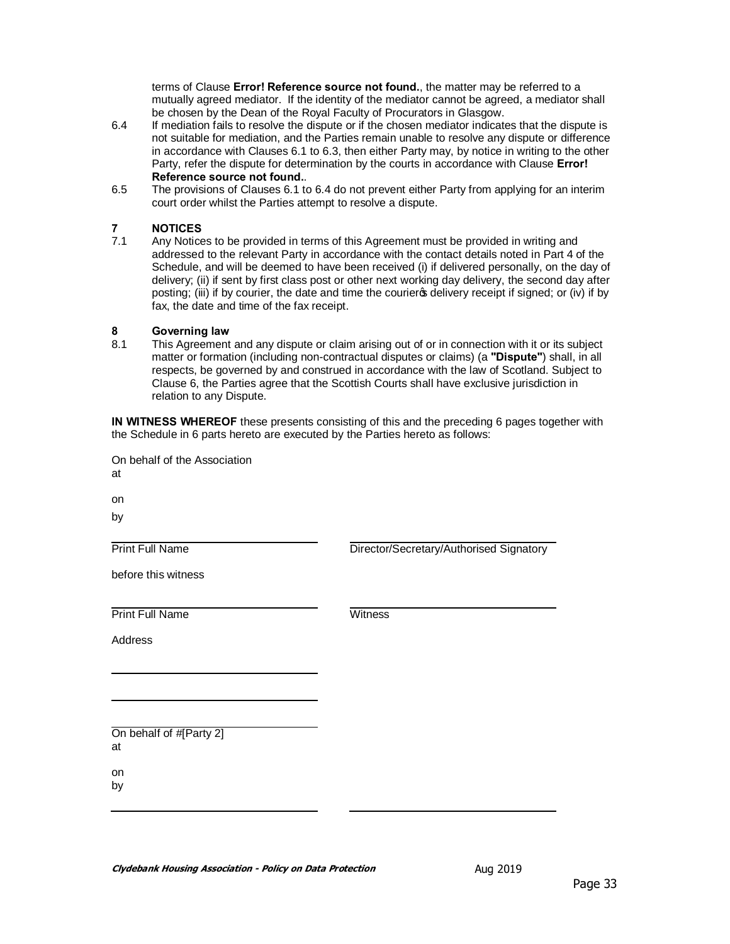terms of Clause **Error! Reference source not found.**, the matter may be referred to a mutually agreed mediator. If the identity of the mediator cannot be agreed, a mediator shall be chosen by the Dean of the Royal Faculty of Procurators in Glasgow.

- 6.4 If mediation fails to resolve the dispute or if the chosen mediator indicates that the dispute is not suitable for mediation, and the Parties remain unable to resolve any dispute or difference in accordance with Clauses 6.1 to 6.3, then either Party may, by notice in writing to the other Party, refer the dispute for determination by the courts in accordance with Clause **Error! Reference source not found.**.
- 6.5 The provisions of Clauses 6.1 to 6.4 do not prevent either Party from applying for an interim court order whilst the Parties attempt to resolve a dispute.

# **7 NOTICES**

Any Notices to be provided in terms of this Agreement must be provided in writing and addressed to the relevant Party in accordance with the contact details noted in Part 4 of the Schedule, and will be deemed to have been received (i) if delivered personally, on the day of delivery; (ii) if sent by first class post or other next working day delivery, the second day after posting; (iii) if by courier, the date and time the courier op delivery receipt if signed; or (iv) if by fax, the date and time of the fax receipt.

# **8 Governing law**

This Agreement and any dispute or claim arising out of or in connection with it or its subject matter or formation (including non-contractual disputes or claims) (a **"Dispute"**) shall, in all respects, be governed by and construed in accordance with the law of Scotland. Subject to Clause 6, the Parties agree that the Scottish Courts shall have exclusive jurisdiction in relation to any Dispute.

**IN WITNESS WHEREOF** these presents consisting of this and the preceding 6 pages together with the Schedule in 6 parts hereto are executed by the Parties hereto as follows:

On behalf of the Association at on

by

Print Full Name

Director/Secretary/Authorised Signatory

before this witness

**Print Full Name** Witness

Address

On behalf of #[Party 2] at

on

by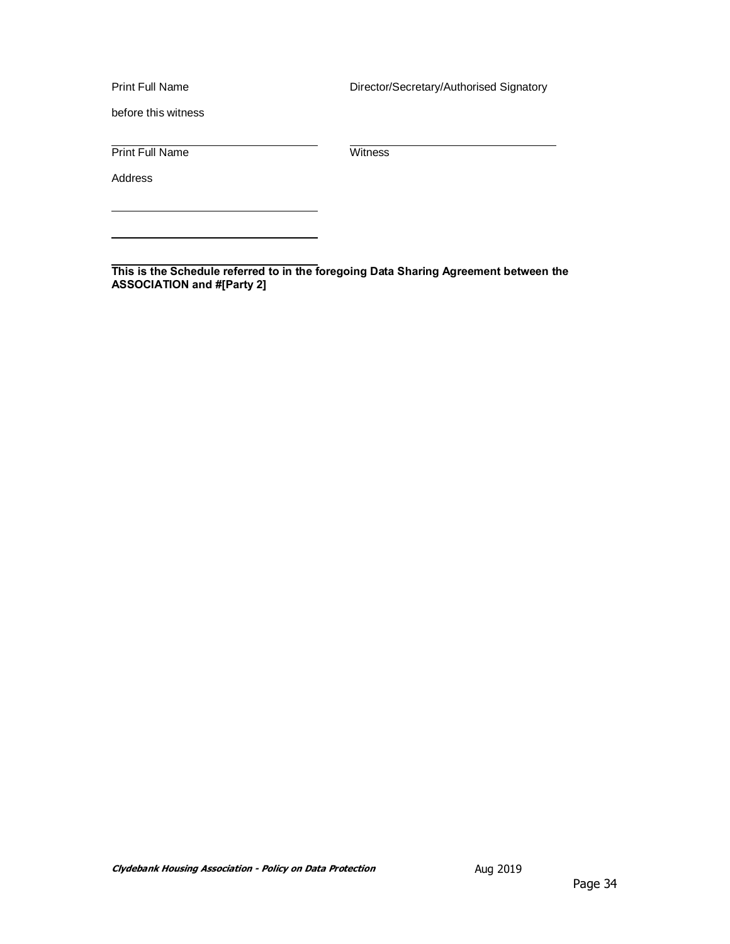Print Full Name

Director/Secretary/Authorised Signatory

before this witness

Print Full Name Witness

Address

**This is the Schedule referred to in the foregoing Data Sharing Agreement between the ASSOCIATION and #[Party 2]**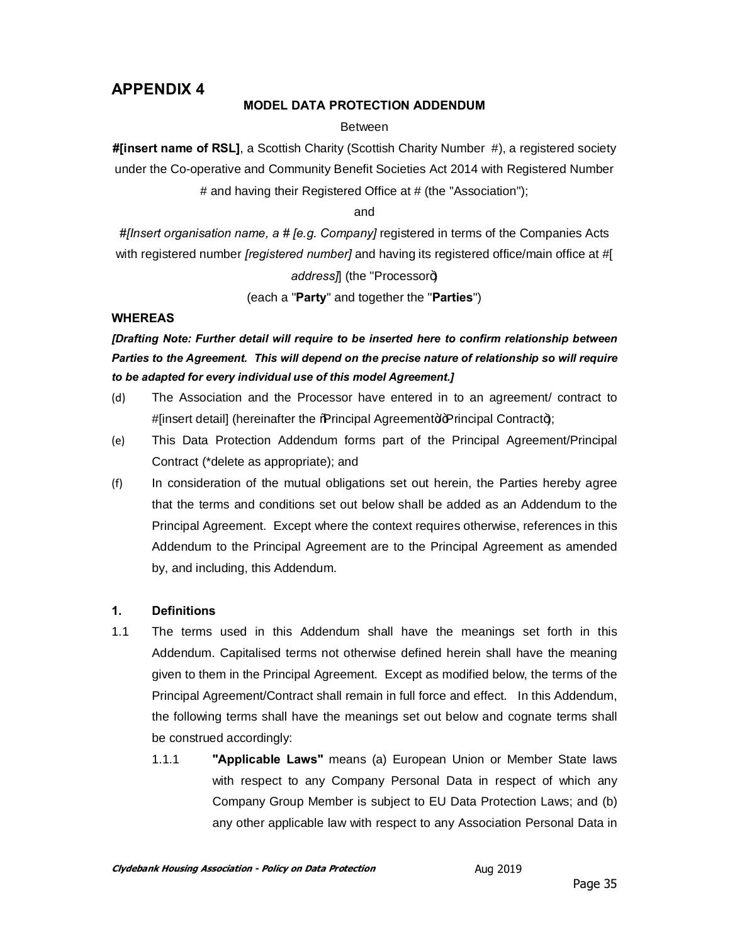# **APPENDIX 4**

#### **MODEL DATA PROTECTION ADDENDUM**

#### Between

**#[insert name of RSL]**, a Scottish Charity (Scottish Charity Number #), a registered society under the Co-operative and Community Benefit Societies Act 2014 with Registered Number # and having their Registered Office at # (the "Association");

and

*#[Insert organisation name, a # [e.g. Company]* registered in terms of the Companies Acts with registered number *[registered number]* and having its registered office/main office at #[

# address<sub>7</sub>] (the "Processor+)

(each a "**Party**" and together the "**Parties**")

#### **WHEREAS**

*[Drafting Note: Further detail will require to be inserted here to confirm relationship between Parties to the Agreement. This will depend on the precise nature of relationship so will require to be adapted for every individual use of this model Agreement.]*

- (d) The Association and the Processor have entered in to an agreement/ contract to #[insert detail] (hereinafter the %Rrincipal Agreement + Principal Contract+);
- (e) This Data Protection Addendum forms part of the Principal Agreement/Principal Contract (\*delete as appropriate); and
- (f) In consideration of the mutual obligations set out herein, the Parties hereby agree that the terms and conditions set out below shall be added as an Addendum to the Principal Agreement. Except where the context requires otherwise, references in this Addendum to the Principal Agreement are to the Principal Agreement as amended by, and including, this Addendum.

#### **1. Definitions**

- 1.1 The terms used in this Addendum shall have the meanings set forth in this Addendum. Capitalised terms not otherwise defined herein shall have the meaning given to them in the Principal Agreement. Except as modified below, the terms of the Principal Agreement/Contract shall remain in full force and effect. In this Addendum, the following terms shall have the meanings set out below and cognate terms shall be construed accordingly:
	- 1.1.1 **"Applicable Laws"** means (a) European Union or Member State laws with respect to any Company Personal Data in respect of which any Company Group Member is subject to EU Data Protection Laws; and (b) any other applicable law with respect to any Association Personal Data in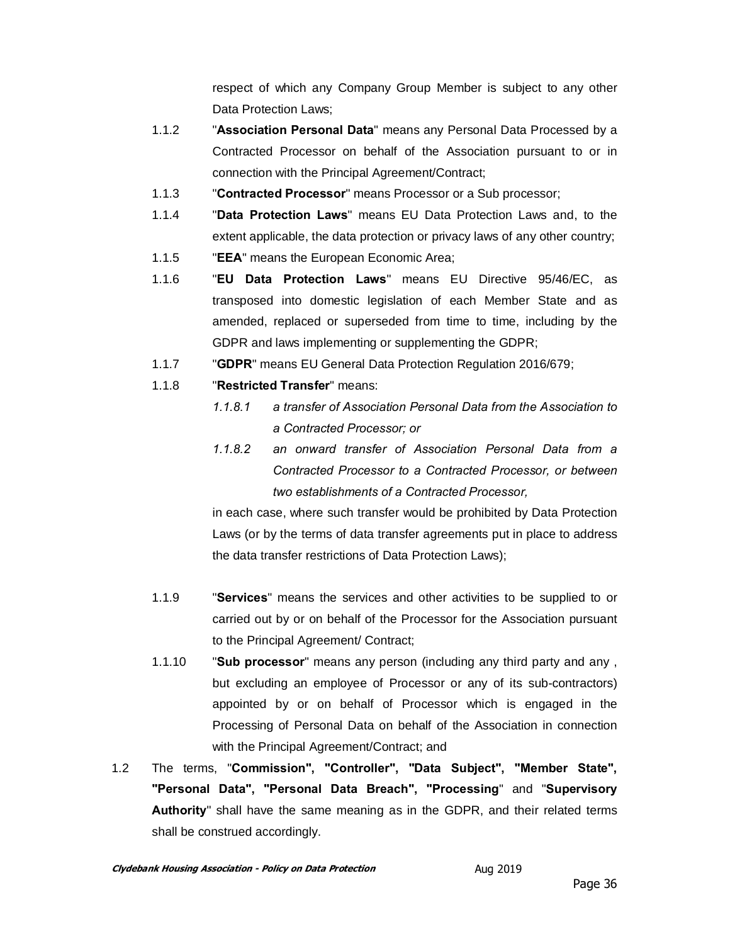respect of which any Company Group Member is subject to any other Data Protection Laws;

- 1.1.2 "**Association Personal Data**" means any Personal Data Processed by a Contracted Processor on behalf of the Association pursuant to or in connection with the Principal Agreement/Contract;
- 1.1.3 "**Contracted Processor**" means Processor or a Sub processor;
- 1.1.4 "**Data Protection Laws**" means EU Data Protection Laws and, to the extent applicable, the data protection or privacy laws of any other country;
- 1.1.5 "**EEA**" means the European Economic Area;
- 1.1.6 "**EU Data Protection Laws**" means EU Directive 95/46/EC, as transposed into domestic legislation of each Member State and as amended, replaced or superseded from time to time, including by the GDPR and laws implementing or supplementing the GDPR;
- 1.1.7 "**GDPR**" means EU General Data Protection Regulation 2016/679;
- 1.1.8 "**Restricted Transfer**" means:
	- *1.1.8.1 a transfer of Association Personal Data from the Association to a Contracted Processor; or*
	- *1.1.8.2 an onward transfer of Association Personal Data from a Contracted Processor to a Contracted Processor, or between two establishments of a Contracted Processor,*

in each case, where such transfer would be prohibited by Data Protection Laws (or by the terms of data transfer agreements put in place to address the data transfer restrictions of Data Protection Laws);

- 1.1.9 "**Services**" means the services and other activities to be supplied to or carried out by or on behalf of the Processor for the Association pursuant to the Principal Agreement/ Contract;
- 1.1.10 "**Sub processor**" means any person (including any third party and any , but excluding an employee of Processor or any of its sub-contractors) appointed by or on behalf of Processor which is engaged in the Processing of Personal Data on behalf of the Association in connection with the Principal Agreement/Contract; and
- 1.2 The terms, "**Commission", "Controller", "Data Subject", "Member State", "Personal Data", "Personal Data Breach", "Processing**" and "**Supervisory Authority**" shall have the same meaning as in the GDPR, and their related terms shall be construed accordingly.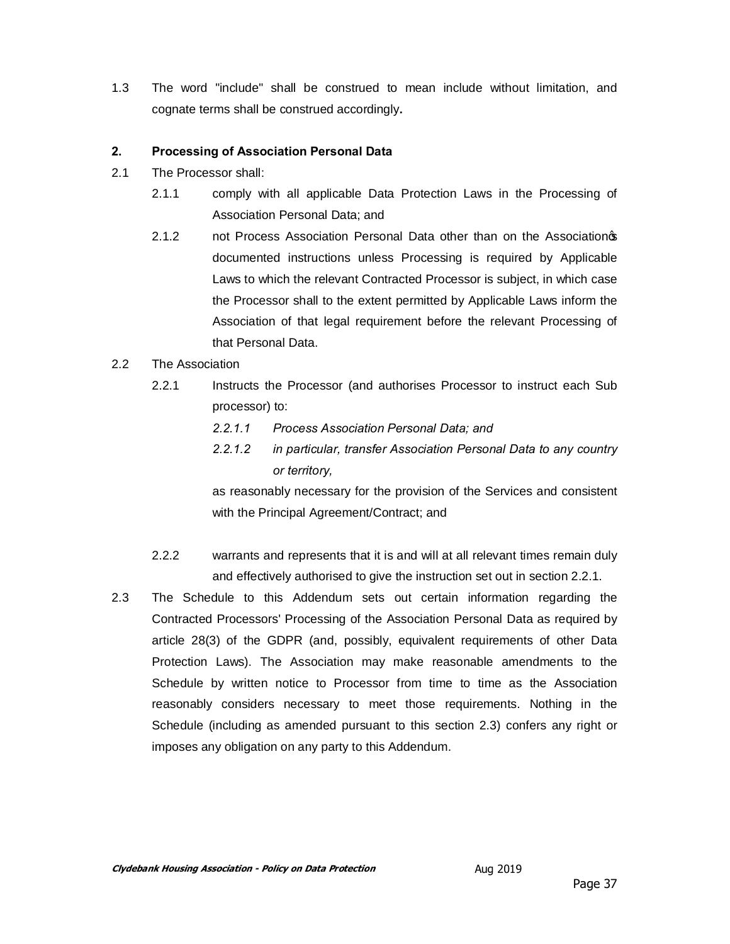1.3 The word "include" shall be construed to mean include without limitation, and cognate terms shall be construed accordingly**.**

#### **2. Processing of Association Personal Data**

- 2.1 The Processor shall:
	- 2.1.1 comply with all applicable Data Protection Laws in the Processing of Association Personal Data; and
	- 2.1.2 not Process Association Personal Data other than on the Associationos documented instructions unless Processing is required by Applicable Laws to which the relevant Contracted Processor is subject, in which case the Processor shall to the extent permitted by Applicable Laws inform the Association of that legal requirement before the relevant Processing of that Personal Data.

#### 2.2 The Association

- 2.2.1 Instructs the Processor (and authorises Processor to instruct each Sub processor) to:
	- *2.2.1.1 Process Association Personal Data; and*
	- *2.2.1.2 in particular, transfer Association Personal Data to any country or territory,*

as reasonably necessary for the provision of the Services and consistent with the Principal Agreement/Contract; and

- 2.2.2 warrants and represents that it is and will at all relevant times remain duly and effectively authorised to give the instruction set out in section 2.2.1.
- 2.3 The Schedule to this Addendum sets out certain information regarding the Contracted Processors' Processing of the Association Personal Data as required by article 28(3) of the GDPR (and, possibly, equivalent requirements of other Data Protection Laws). The Association may make reasonable amendments to the Schedule by written notice to Processor from time to time as the Association reasonably considers necessary to meet those requirements. Nothing in the Schedule (including as amended pursuant to this section 2.3) confers any right or imposes any obligation on any party to this Addendum.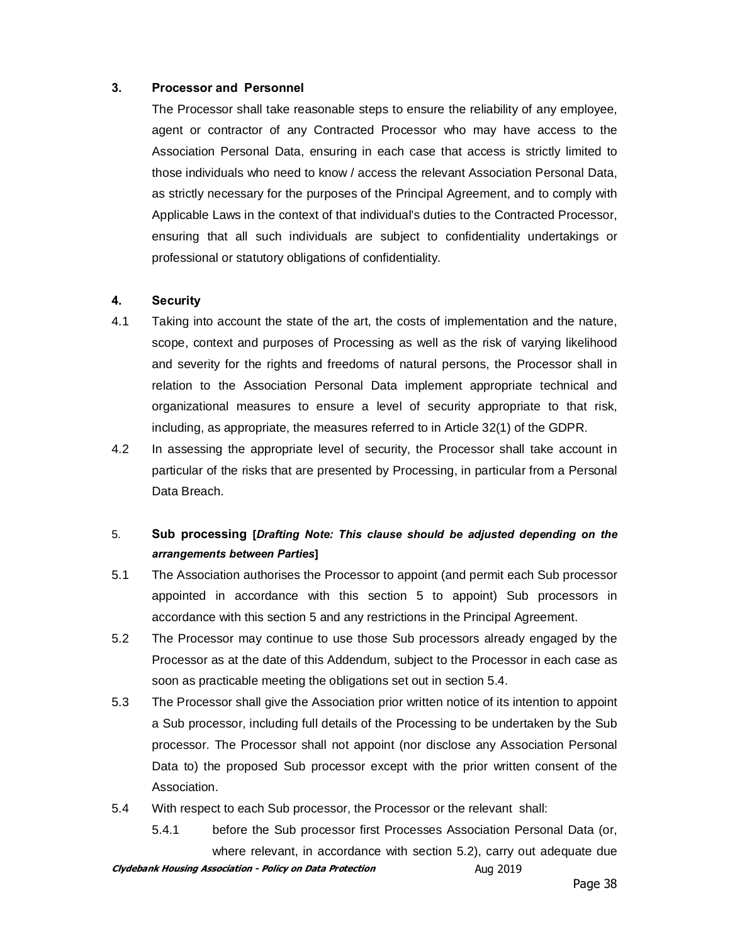#### **3. Processor and Personnel**

The Processor shall take reasonable steps to ensure the reliability of any employee, agent or contractor of any Contracted Processor who may have access to the Association Personal Data, ensuring in each case that access is strictly limited to those individuals who need to know / access the relevant Association Personal Data, as strictly necessary for the purposes of the Principal Agreement, and to comply with Applicable Laws in the context of that individual's duties to the Contracted Processor, ensuring that all such individuals are subject to confidentiality undertakings or professional or statutory obligations of confidentiality.

#### **4. Security**

- 4.1 Taking into account the state of the art, the costs of implementation and the nature, scope, context and purposes of Processing as well as the risk of varying likelihood and severity for the rights and freedoms of natural persons, the Processor shall in relation to the Association Personal Data implement appropriate technical and organizational measures to ensure a level of security appropriate to that risk, including, as appropriate, the measures referred to in Article 32(1) of the GDPR.
- 4.2 In assessing the appropriate level of security, the Processor shall take account in particular of the risks that are presented by Processing, in particular from a Personal Data Breach.

## 5. **Sub processing [***Drafting Note: This clause should be adjusted depending on the arrangements between Parties***]**

- 5.1 The Association authorises the Processor to appoint (and permit each Sub processor appointed in accordance with this section 5 to appoint) Sub processors in accordance with this section 5 and any restrictions in the Principal Agreement.
- 5.2 The Processor may continue to use those Sub processors already engaged by the Processor as at the date of this Addendum, subject to the Processor in each case as soon as practicable meeting the obligations set out in section 5.4.
- 5.3 The Processor shall give the Association prior written notice of its intention to appoint a Sub processor, including full details of the Processing to be undertaken by the Sub processor. The Processor shall not appoint (nor disclose any Association Personal Data to) the proposed Sub processor except with the prior written consent of the Association.
- 5.4 With respect to each Sub processor, the Processor or the relevant shall:
- **Clydebank Housing Association Policy on Data Protection Aug 2019** 5.4.1 before the Sub processor first Processes Association Personal Data (or, where relevant, in accordance with section 5.2), carry out adequate due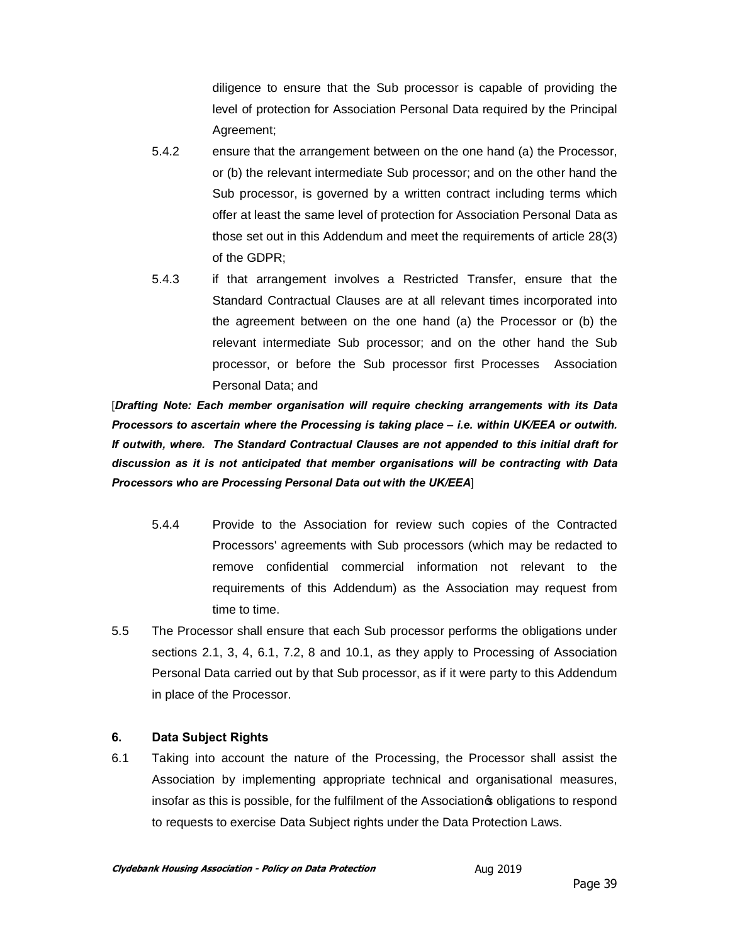diligence to ensure that the Sub processor is capable of providing the level of protection for Association Personal Data required by the Principal Agreement;

- 5.4.2 ensure that the arrangement between on the one hand (a) the Processor, or (b) the relevant intermediate Sub processor; and on the other hand the Sub processor, is governed by a written contract including terms which offer at least the same level of protection for Association Personal Data as those set out in this Addendum and meet the requirements of article 28(3) of the GDPR;
- 5.4.3 if that arrangement involves a Restricted Transfer, ensure that the Standard Contractual Clauses are at all relevant times incorporated into the agreement between on the one hand (a) the Processor or (b) the relevant intermediate Sub processor; and on the other hand the Sub processor, or before the Sub processor first Processes Association Personal Data; and

[*Drafting Note: Each member organisation will require checking arrangements with its Data Processors to ascertain where the Processing is taking place – i.e. within UK/EEA or outwith. If outwith, where. The Standard Contractual Clauses are not appended to this initial draft for discussion as it is not anticipated that member organisations will be contracting with Data Processors who are Processing Personal Data out with the UK/EEA*]

- 5.4.4 Provide to the Association for review such copies of the Contracted Processors' agreements with Sub processors (which may be redacted to remove confidential commercial information not relevant to the requirements of this Addendum) as the Association may request from time to time.
- 5.5 The Processor shall ensure that each Sub processor performs the obligations under sections 2.1, 3, 4, 6.1, 7.2, 8 and 10.1, as they apply to Processing of Association Personal Data carried out by that Sub processor, as if it were party to this Addendum in place of the Processor.

#### **6. Data Subject Rights**

6.1 Taking into account the nature of the Processing, the Processor shall assist the Association by implementing appropriate technical and organisational measures, insofar as this is possible, for the fulfilment of the Association  $\phi$  obligations to respond to requests to exercise Data Subject rights under the Data Protection Laws.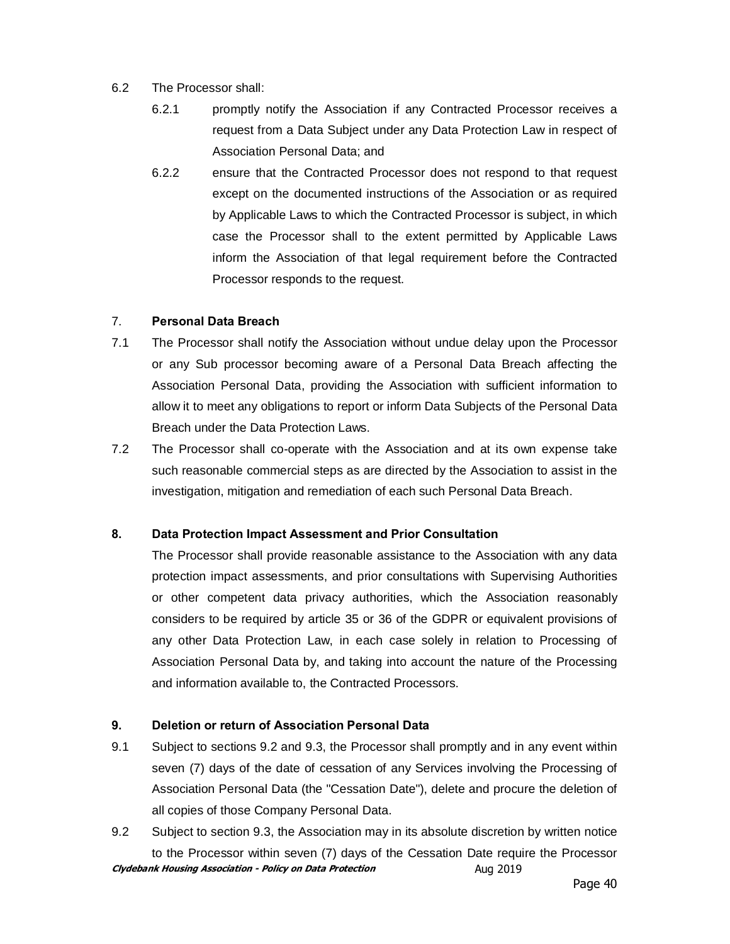#### 6.2 The Processor shall:

- 6.2.1 promptly notify the Association if any Contracted Processor receives a request from a Data Subject under any Data Protection Law in respect of Association Personal Data; and
- 6.2.2 ensure that the Contracted Processor does not respond to that request except on the documented instructions of the Association or as required by Applicable Laws to which the Contracted Processor is subject, in which case the Processor shall to the extent permitted by Applicable Laws inform the Association of that legal requirement before the Contracted Processor responds to the request.

#### 7. **Personal Data Breach**

- 7.1 The Processor shall notify the Association without undue delay upon the Processor or any Sub processor becoming aware of a Personal Data Breach affecting the Association Personal Data, providing the Association with sufficient information to allow it to meet any obligations to report or inform Data Subjects of the Personal Data Breach under the Data Protection Laws.
- 7.2 The Processor shall co-operate with the Association and at its own expense take such reasonable commercial steps as are directed by the Association to assist in the investigation, mitigation and remediation of each such Personal Data Breach.

#### **8. Data Protection Impact Assessment and Prior Consultation**

The Processor shall provide reasonable assistance to the Association with any data protection impact assessments, and prior consultations with Supervising Authorities or other competent data privacy authorities, which the Association reasonably considers to be required by article 35 or 36 of the GDPR or equivalent provisions of any other Data Protection Law, in each case solely in relation to Processing of Association Personal Data by, and taking into account the nature of the Processing and information available to, the Contracted Processors.

#### **9. Deletion or return of Association Personal Data**

- 9.1 Subject to sections 9.2 and 9.3, the Processor shall promptly and in any event within seven (7) days of the date of cessation of any Services involving the Processing of Association Personal Data (the "Cessation Date"), delete and procure the deletion of all copies of those Company Personal Data.
- **Clydebank Housing Association Policy on Data Protection Aug 2019** 9.2 Subject to section 9.3, the Association may in its absolute discretion by written notice to the Processor within seven (7) days of the Cessation Date require the Processor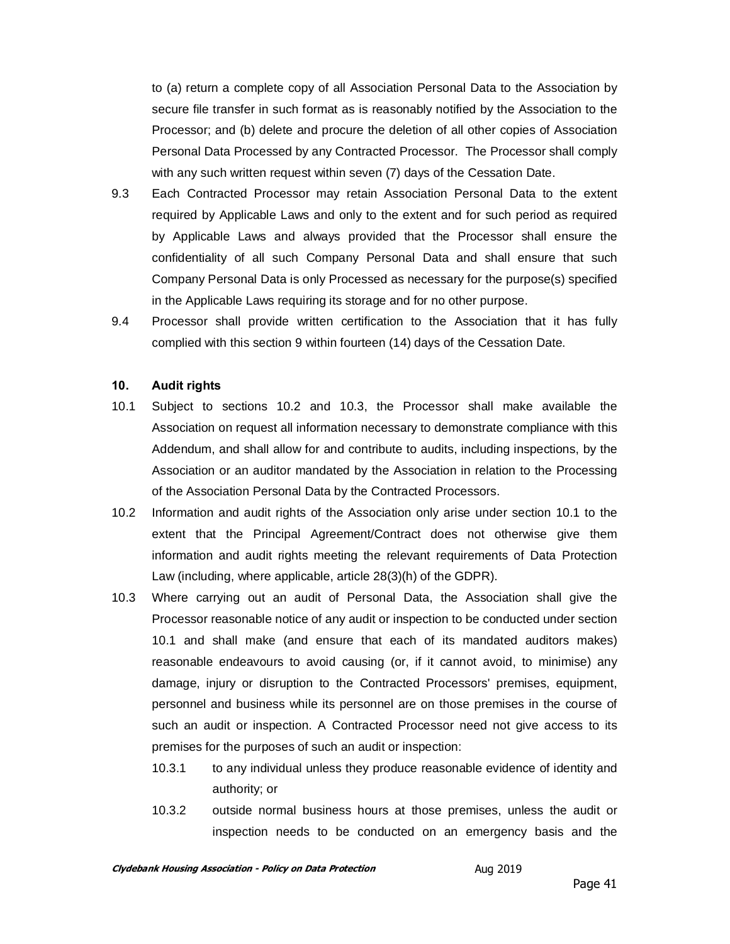to (a) return a complete copy of all Association Personal Data to the Association by secure file transfer in such format as is reasonably notified by the Association to the Processor; and (b) delete and procure the deletion of all other copies of Association Personal Data Processed by any Contracted Processor. The Processor shall comply with any such written request within seven (7) days of the Cessation Date.

- 9.3 Each Contracted Processor may retain Association Personal Data to the extent required by Applicable Laws and only to the extent and for such period as required by Applicable Laws and always provided that the Processor shall ensure the confidentiality of all such Company Personal Data and shall ensure that such Company Personal Data is only Processed as necessary for the purpose(s) specified in the Applicable Laws requiring its storage and for no other purpose.
- 9.4 Processor shall provide written certification to the Association that it has fully complied with this section 9 within fourteen (14) days of the Cessation Date.

#### **10. Audit rights**

- 10.1 Subject to sections 10.2 and 10.3, the Processor shall make available the Association on request all information necessary to demonstrate compliance with this Addendum, and shall allow for and contribute to audits, including inspections, by the Association or an auditor mandated by the Association in relation to the Processing of the Association Personal Data by the Contracted Processors.
- 10.2 Information and audit rights of the Association only arise under section 10.1 to the extent that the Principal Agreement/Contract does not otherwise give them information and audit rights meeting the relevant requirements of Data Protection Law (including, where applicable, article 28(3)(h) of the GDPR).
- 10.3 Where carrying out an audit of Personal Data, the Association shall give the Processor reasonable notice of any audit or inspection to be conducted under section 10.1 and shall make (and ensure that each of its mandated auditors makes) reasonable endeavours to avoid causing (or, if it cannot avoid, to minimise) any damage, injury or disruption to the Contracted Processors' premises, equipment, personnel and business while its personnel are on those premises in the course of such an audit or inspection. A Contracted Processor need not give access to its premises for the purposes of such an audit or inspection:
	- 10.3.1 to any individual unless they produce reasonable evidence of identity and authority; or
	- 10.3.2 outside normal business hours at those premises, unless the audit or inspection needs to be conducted on an emergency basis and the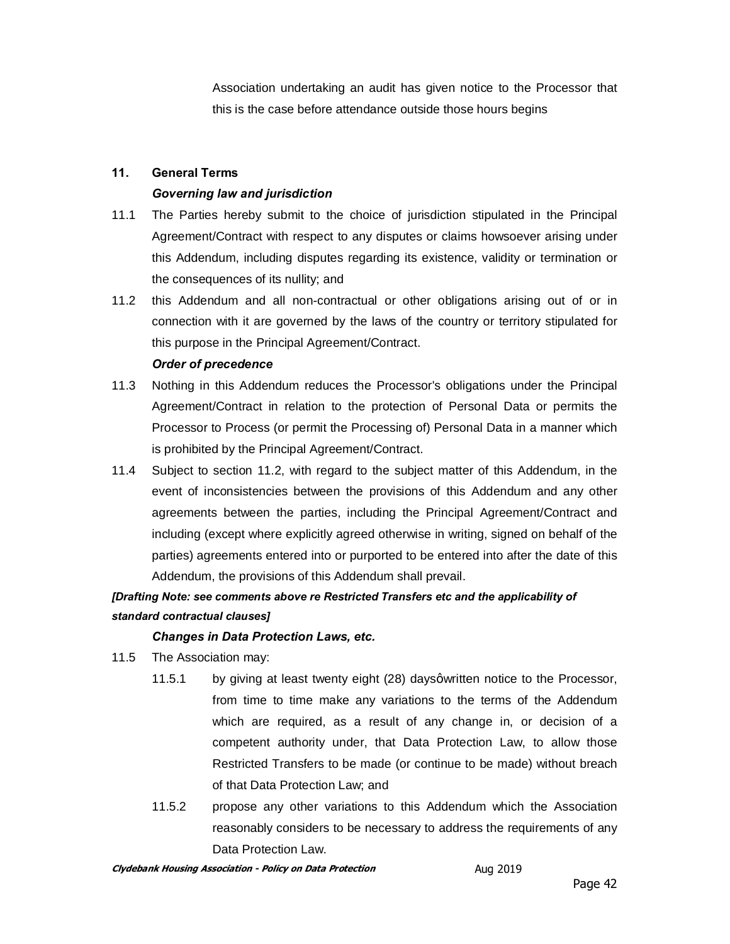Association undertaking an audit has given notice to the Processor that this is the case before attendance outside those hours begins

#### **11. General Terms**

#### *Governing law and jurisdiction*

- 11.1 The Parties hereby submit to the choice of jurisdiction stipulated in the Principal Agreement/Contract with respect to any disputes or claims howsoever arising under this Addendum, including disputes regarding its existence, validity or termination or the consequences of its nullity; and
- 11.2 this Addendum and all non-contractual or other obligations arising out of or in connection with it are governed by the laws of the country or territory stipulated for this purpose in the Principal Agreement/Contract.

#### *Order of precedence*

- 11.3 Nothing in this Addendum reduces the Processor's obligations under the Principal Agreement/Contract in relation to the protection of Personal Data or permits the Processor to Process (or permit the Processing of) Personal Data in a manner which is prohibited by the Principal Agreement/Contract.
- 11.4 Subject to section 11.2, with regard to the subject matter of this Addendum, in the event of inconsistencies between the provisions of this Addendum and any other agreements between the parties, including the Principal Agreement/Contract and including (except where explicitly agreed otherwise in writing, signed on behalf of the parties) agreements entered into or purported to be entered into after the date of this Addendum, the provisions of this Addendum shall prevail.

# *[Drafting Note: see comments above re Restricted Transfers etc and the applicability of standard contractual clauses]*

#### *Changes in Data Protection Laws, etc.*

- 11.5 The Association may:
	- 11.5.1 by giving at least twenty eight (28) daysqwritten notice to the Processor, from time to time make any variations to the terms of the Addendum which are required, as a result of any change in, or decision of a competent authority under, that Data Protection Law, to allow those Restricted Transfers to be made (or continue to be made) without breach of that Data Protection Law; and
	- 11.5.2 propose any other variations to this Addendum which the Association reasonably considers to be necessary to address the requirements of any Data Protection Law.

**Clydebank Housing Association - Policy on Data Protection** Manus Aug 2019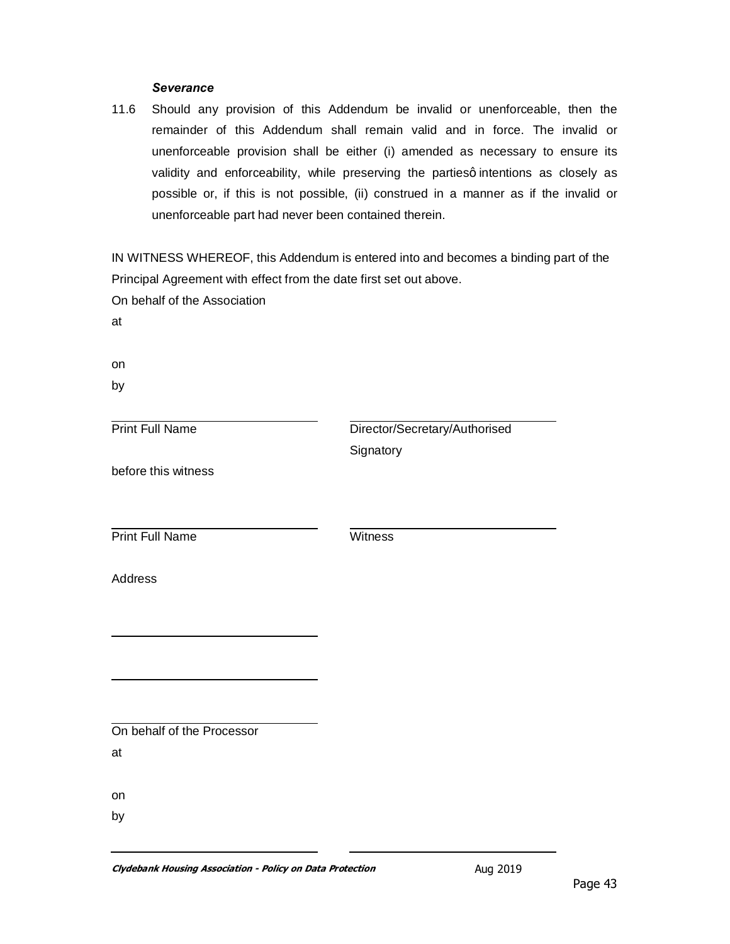#### *Severance*

11.6 Should any provision of this Addendum be invalid or unenforceable, then the remainder of this Addendum shall remain valid and in force. The invalid or unenforceable provision shall be either (i) amended as necessary to ensure its validity and enforceability, while preserving the partiesq intentions as closely as possible or, if this is not possible, (ii) construed in a manner as if the invalid or unenforceable part had never been contained therein.

IN WITNESS WHEREOF, this Addendum is entered into and becomes a binding part of the Principal Agreement with effect from the date first set out above.

On behalf of the Association

at

on

by

Print Full Name

Director/Secretary/Authorised **Signatory** 

before this witness

**Print Full Name** Witness

Address

On behalf of the Processor at

on

by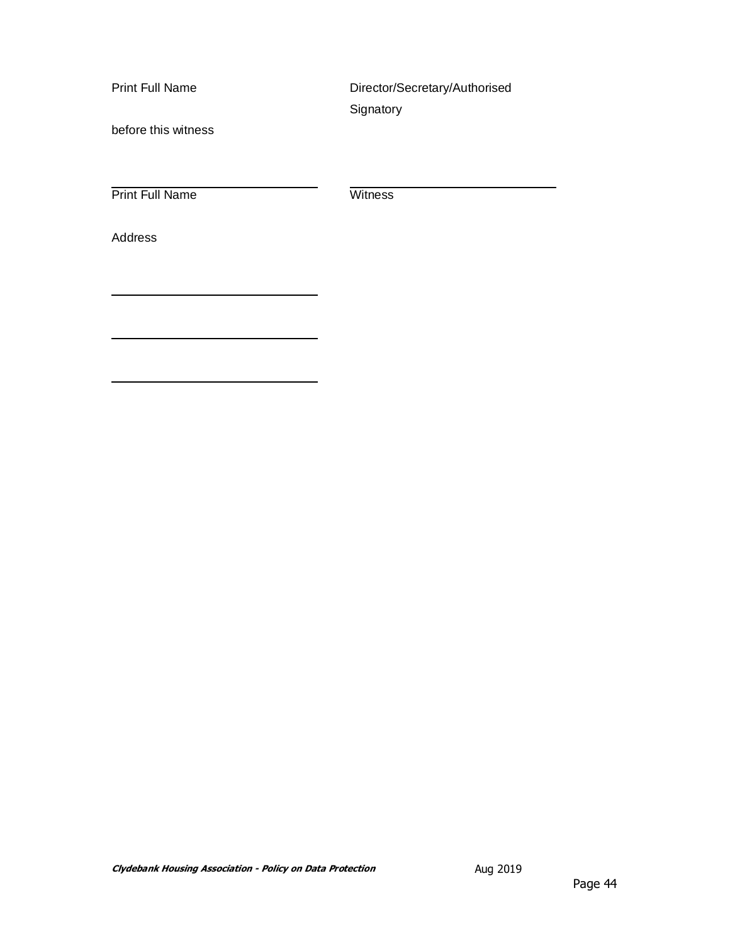Print Full Name

Director/Secretary/Authorised Signatory

before this witness

Print Full Name Witness

Address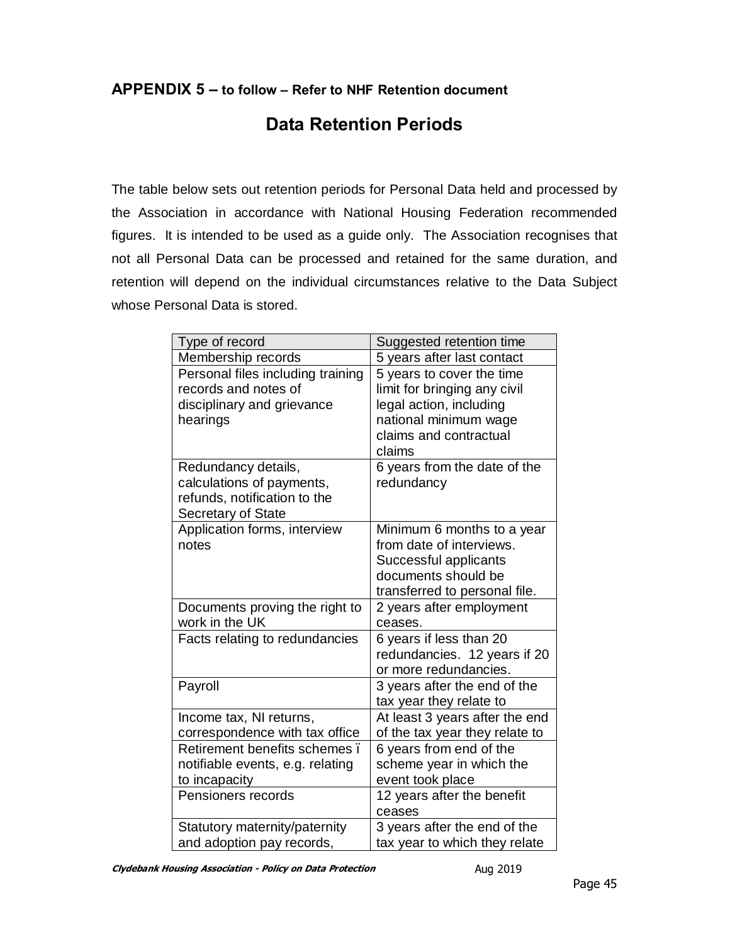## **APPENDIX 5 – to follow – Refer to NHF Retention document**

# **Data Retention Periods**

The table below sets out retention periods for Personal Data held and processed by the Association in accordance with National Housing Federation recommended figures. It is intended to be used as a guide only. The Association recognises that not all Personal Data can be processed and retained for the same duration, and retention will depend on the individual circumstances relative to the Data Subject whose Personal Data is stored.

| Type of record                    | Suggested retention time       |
|-----------------------------------|--------------------------------|
| Membership records                | 5 years after last contact     |
| Personal files including training | 5 years to cover the time      |
| records and notes of              | limit for bringing any civil   |
| disciplinary and grievance        | legal action, including        |
| hearings                          | national minimum wage          |
|                                   | claims and contractual         |
|                                   | claims                         |
| Redundancy details,               | 6 years from the date of the   |
| calculations of payments,         | redundancy                     |
| refunds, notification to the      |                                |
| Secretary of State                |                                |
| Application forms, interview      | Minimum 6 months to a year     |
| notes                             | from date of interviews.       |
|                                   | Successful applicants          |
|                                   | documents should be            |
|                                   | transferred to personal file.  |
| Documents proving the right to    | 2 years after employment       |
| work in the UK                    | ceases.                        |
| Facts relating to redundancies    | 6 years if less than 20        |
|                                   | redundancies. 12 years if 20   |
|                                   | or more redundancies.          |
| Payroll                           | 3 years after the end of the   |
|                                   | tax year they relate to        |
| Income tax, NI returns,           | At least 3 years after the end |
| correspondence with tax office    | of the tax year they relate to |
| Retirement benefits schemes.      | 6 years from end of the        |
| notifiable events, e.g. relating  | scheme year in which the       |
| to incapacity                     | event took place               |
| Pensioners records                | 12 years after the benefit     |
|                                   | ceases                         |
| Statutory maternity/paternity     | 3 years after the end of the   |
| and adoption pay records,         | tax year to which they relate  |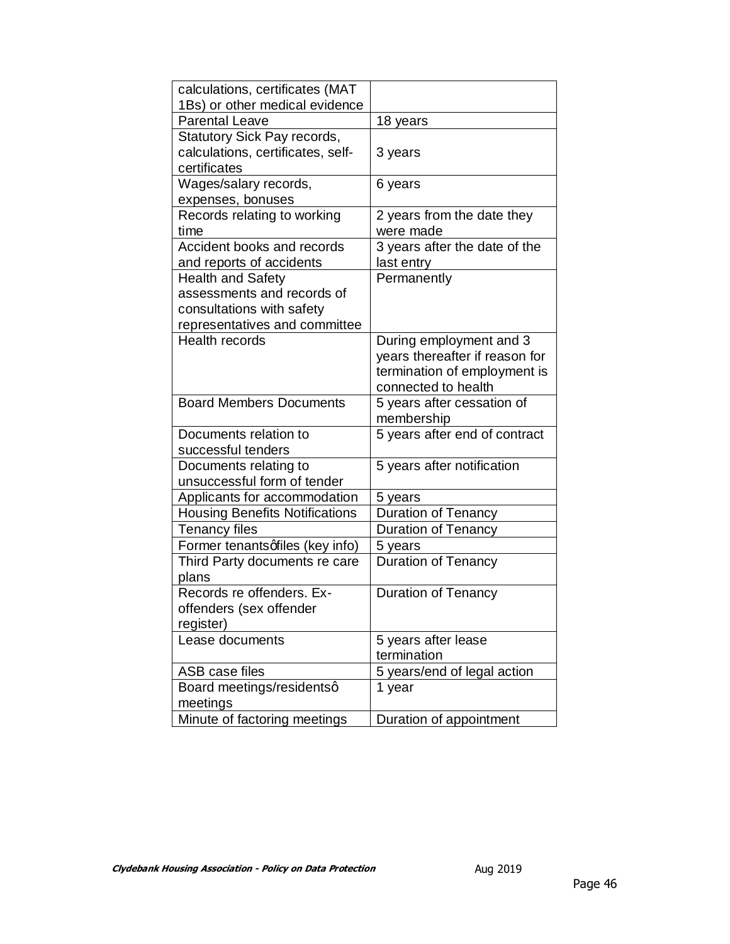| calculations, certificates (MAT       |                                |
|---------------------------------------|--------------------------------|
| 1Bs) or other medical evidence        |                                |
| <b>Parental Leave</b>                 | 18 years                       |
| Statutory Sick Pay records,           |                                |
| calculations, certificates, self-     | 3 years                        |
| certificates                          |                                |
| Wages/salary records,                 | 6 years                        |
| expenses, bonuses                     |                                |
| Records relating to working           | 2 years from the date they     |
| time                                  | were made                      |
| Accident books and records            | 3 years after the date of the  |
| and reports of accidents              | last entry                     |
| <b>Health and Safety</b>              | Permanently                    |
| assessments and records of            |                                |
| consultations with safety             |                                |
| representatives and committee         |                                |
| <b>Health records</b>                 | During employment and 3        |
|                                       | years thereafter if reason for |
|                                       | termination of employment is   |
|                                       | connected to health            |
| <b>Board Members Documents</b>        | 5 years after cessation of     |
|                                       | membership                     |
| Documents relation to                 | 5 years after end of contract  |
| successful tenders                    |                                |
| Documents relating to                 | 5 years after notification     |
| unsuccessful form of tender           |                                |
| Applicants for accommodation          | 5 years                        |
| <b>Housing Benefits Notifications</b> | <b>Duration of Tenancy</b>     |
| <b>Tenancy files</b>                  | <b>Duration of Tenancy</b>     |
| Former tenantsqfiles (key info)       | 5 years                        |
| Third Party documents re care         | <b>Duration of Tenancy</b>     |
| plans                                 |                                |
| Records re offenders. Ex-             | <b>Duration of Tenancy</b>     |
| offenders (sex offender               |                                |
| register)                             |                                |
| Lease documents                       | 5 years after lease            |
|                                       | termination                    |
| ASB case files                        | 5 years/end of legal action    |
| Board meetings/residentsq             | 1 year                         |
| meetings                              |                                |
| Minute of factoring meetings          | Duration of appointment        |